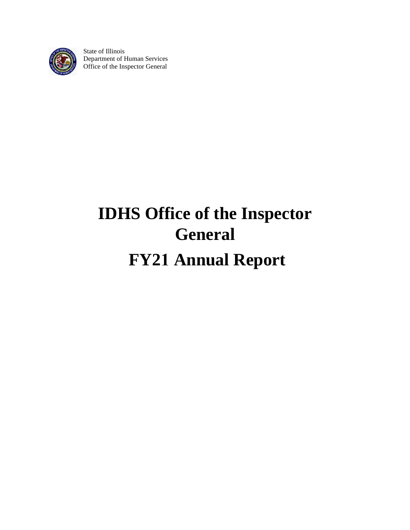

State of Illinois Department of Human Services Office of the Inspector General

# **IDHS Office of the Inspector General FY21 Annual Report**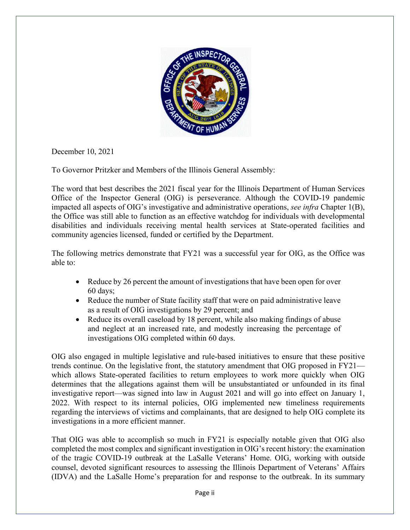

December 10, 2021

To Governor Pritzker and Members of the Illinois General Assembly:

The word that best describes the 2021 fiscal year for the Illinois Department of Human Services Office of the Inspector General (OIG) is perseverance. Although the COVID-19 pandemic impacted all aspects of OIG's investigative and administrative operations, *see infra* Chapter 1(B), the Office was still able to function as an effective watchdog for individuals with developmental disabilities and individuals receiving mental health services at State-operated facilities and community agencies licensed, funded or certified by the Department.

The following metrics demonstrate that FY21 was a successful year for OIG, as the Office was able to:

- Reduce by 26 percent the amount of investigations that have been open for over 60 days;
- Reduce the number of State facility staff that were on paid administrative leave as a result of OIG investigations by 29 percent; and
- Reduce its overall caseload by 18 percent, while also making findings of abuse and neglect at an increased rate, and modestly increasing the percentage of investigations OIG completed within 60 days.

OIG also engaged in multiple legislative and rule-based initiatives to ensure that these positive trends continue. On the legislative front, the statutory amendment that OIG proposed in FY21 which allows State-operated facilities to return employees to work more quickly when OIG determines that the allegations against them will be unsubstantiated or unfounded in its final investigative report—was signed into law in August 2021 and will go into effect on January 1, 2022. With respect to its internal policies, OIG implemented new timeliness requirements regarding the interviews of victims and complainants, that are designed to help OIG complete its investigations in a more efficient manner.

That OIG was able to accomplish so much in FY21 is especially notable given that OIG also completed the most complex and significant investigation in OIG's recent history: the examination of the tragic COVID-19 outbreak at the LaSalle Veterans' Home. OIG, working with outside counsel, devoted significant resources to assessing the Illinois Department of Veterans' Affairs (IDVA) and the LaSalle Home's preparation for and response to the outbreak. In its summary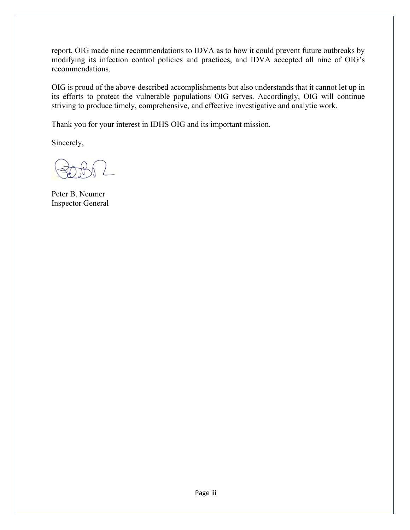report, OIG made nine recommendations to IDVA as to how it could prevent future outbreaks by modifying its infection control policies and practices, and IDVA accepted all nine of OIG's recommendations.

OIG is proud of the above-described accomplishments but also understands that it cannot let up in its efforts to protect the vulnerable populations OIG serves. Accordingly, OIG will continue striving to produce timely, comprehensive, and effective investigative and analytic work.

Thank you for your interest in IDHS OIG and its important mission.

Sincerely,

Peter B. Neumer Inspector General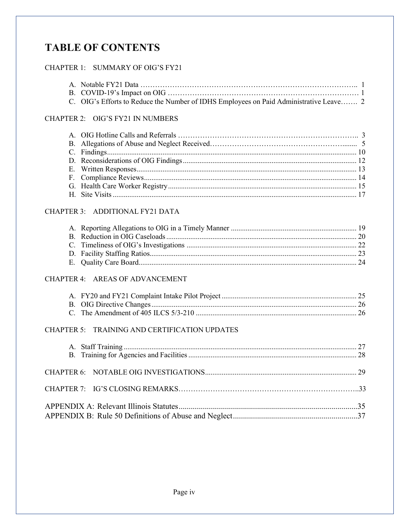## **TABLE OF CONTENTS**

#### CHAPTER 1: SUMMARY OF OIG'S FY21

| C. OIG's Efforts to Reduce the Number of IDHS Employees on Paid Administrative Leave 2 |  |
|----------------------------------------------------------------------------------------|--|

## CHAPTER 2: OIG'S FY21 IN NUMBERS

#### CHAPTER 3: ADDITIONAL FY21 DATA

#### CHAPTER 4: AREAS OF ADVANCEMENT

#### CHAPTER 5: TRAINING AND CERTIFICATION UPDATES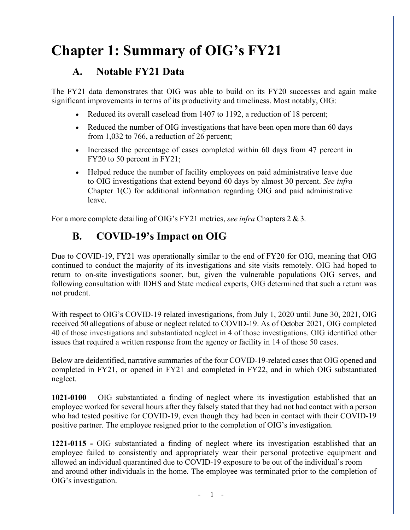## **Chapter 1: Summary of OIG's FY21**

### **A. Notable FY21 Data**

The FY21 data demonstrates that OIG was able to build on its FY20 successes and again make significant improvements in terms of its productivity and timeliness. Most notably, OIG:

- Reduced its overall caseload from 1407 to 1192, a reduction of 18 percent;
- Reduced the number of OIG investigations that have been open more than 60 days from 1,032 to 766, a reduction of 26 percent;
- Increased the percentage of cases completed within 60 days from 47 percent in FY20 to 50 percent in FY21;
- Helped reduce the number of facility employees on paid administrative leave due to OIG investigations that extend beyond 60 days by almost 30 percent. *See infra* Chapter 1(C) for additional information regarding OIG and paid administrative leave.

For a more complete detailing of OIG's FY21 metrics, *see infra* Chapters 2 & 3.

## **B. COVID-19's Impact on OIG**

Due to COVID-19, FY21 was operationally similar to the end of FY20 for OIG, meaning that OIG continued to conduct the majority of its investigations and site visits remotely. OIG had hoped to return to on-site investigations sooner, but, given the vulnerable populations OIG serves, and following consultation with IDHS and State medical experts, OIG determined that such a return was not prudent.

With respect to OIG's COVID-19 related investigations, from July 1, 2020 until June 30, 2021, OIG received 50 allegations of abuse or neglect related to COVID-19. As of October 2021, OIG completed 40 of those investigations and substantiated neglect in 4 of those investigations. OIG identified other issues that required a written response from the agency or facility in 14 of those 50 cases.

Below are deidentified, narrative summaries of the four COVID-19-related cases that OIG opened and completed in FY21, or opened in FY21 and completed in FY22, and in which OIG substantiated neglect.

**1021-0100** – OIG substantiated a finding of neglect where its investigation established that an employee worked for several hours after they falsely stated that they had not had contact with a person who had tested positive for COVID-19, even though they had been in contact with their COVID-19 positive partner. The employee resigned prior to the completion of OIG's investigation.

**1221-0115 -** OIG substantiated a finding of neglect where its investigation established that an employee failed to consistently and appropriately wear their personal protective equipment and allowed an individual quarantined due to COVID-19 exposure to be out of the individual's room and around other individuals in the home. The employee was terminated prior to the completion of OIG's investigation.

 $-1$  -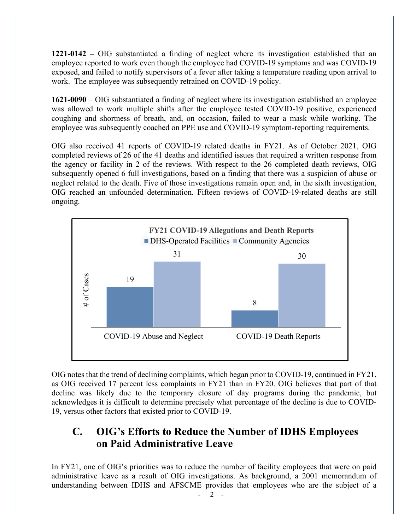**1221-0142 –** OIG substantiated a finding of neglect where its investigation established that an employee reported to work even though the employee had COVID-19 symptoms and was COVID-19 exposed, and failed to notify supervisors of a fever after taking a temperature reading upon arrival to work. The employee was subsequently retrained on COVID-19 policy.

**1621-0090** – OIG substantiated a finding of neglect where its investigation established an employee was allowed to work multiple shifts after the employee tested COVID-19 positive, experienced coughing and shortness of breath, and, on occasion, failed to wear a mask while working. The employee was subsequently coached on PPE use and COVID-19 symptom-reporting requirements.

OIG also received 41 reports of COVID-19 related deaths in FY21. As of October 2021, OIG completed reviews of 26 of the 41 deaths and identified issues that required a written response from the agency or facility in 2 of the reviews. With respect to the 26 completed death reviews, OIG subsequently opened 6 full investigations, based on a finding that there was a suspicion of abuse or neglect related to the death. Five of those investigations remain open and, in the sixth investigation, OIG reached an unfounded determination. Fifteen reviews of COVID-19-related deaths are still ongoing.



OIG notes that the trend of declining complaints, which began prior to COVID-19, continued in FY21, as OIG received 17 percent less complaints in FY21 than in FY20. OIG believes that part of that decline was likely due to the temporary closure of day programs during the pandemic, but acknowledges it is difficult to determine precisely what percentage of the decline is due to COVID-19, versus other factors that existed prior to COVID-19.

### **C. OIG's Efforts to Reduce the Number of IDHS Employees on Paid Administrative Leave**

In FY21, one of OIG's priorities was to reduce the number of facility employees that were on paid administrative leave as a result of OIG investigations. As background, a 2001 memorandum of understanding between IDHS and AFSCME provides that employees who are the subject of a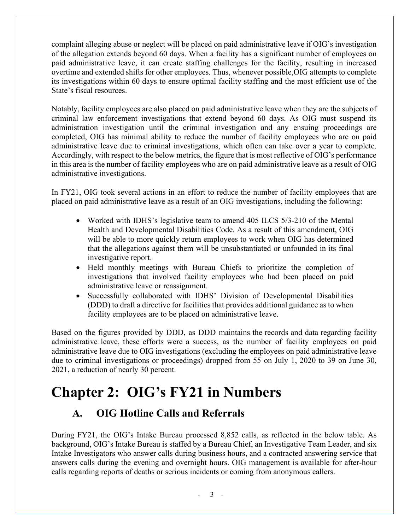complaint alleging abuse or neglect will be placed on paid administrative leave if OIG's investigation of the allegation extends beyond 60 days. When a facility has a significant number of employees on paid administrative leave, it can create staffing challenges for the facility, resulting in increased overtime and extended shifts for other employees. Thus, whenever possible,OIG attempts to complete its investigations within 60 days to ensure optimal facility staffing and the most efficient use of the State's fiscal resources.

Notably, facility employees are also placed on paid administrative leave when they are the subjects of criminal law enforcement investigations that extend beyond 60 days. As OIG must suspend its administration investigation until the criminal investigation and any ensuing proceedings are completed, OIG has minimal ability to reduce the number of facility employees who are on paid administrative leave due to criminal investigations, which often can take over a year to complete. Accordingly, with respect to the below metrics, the figure that is most reflective of OIG's performance in this area is the number of facility employees who are on paid administrative leave as a result of OIG administrative investigations.

In FY21, OIG took several actions in an effort to reduce the number of facility employees that are placed on paid administrative leave as a result of an OIG investigations, including the following:

- Worked with IDHS's legislative team to amend 405 ILCS 5/3-210 of the Mental Health and Developmental Disabilities Code. As a result of this amendment, OIG will be able to more quickly return employees to work when OIG has determined that the allegations against them will be unsubstantiated or unfounded in its final investigative report.
- Held monthly meetings with Bureau Chiefs to prioritize the completion of investigations that involved facility employees who had been placed on paid administrative leave or reassignment.
- Successfully collaborated with IDHS' Division of Developmental Disabilities (DDD) to draft a directive for facilities that provides additional guidance as to when facility employees are to be placed on administrative leave.

Based on the figures provided by DDD, as DDD maintains the records and data regarding facility administrative leave, these efforts were a success, as the number of facility employees on paid administrative leave due to OIG investigations (excluding the employees on paid administrative leave due to criminal investigations or proceedings) dropped from 55 on July 1, 2020 to 39 on June 30, 2021, a reduction of nearly 30 percent.

## <span id="page-6-0"></span>**Chapter 2: OIG's FY21 in Numbers**

## **A. OIG Hotline Calls and Referrals**

During FY21, the OIG's Intake Bureau processed 8,852 calls, as reflected in the below table. As background, OIG's Intake Bureau is staffed by a Bureau Chief, an Investigative Team Leader, and six Intake Investigators who answer calls during business hours, and a contracted answering service that answers calls during the evening and overnight hours. OIG management is available for after-hour calls regarding reports of deaths or serious incidents or coming from anonymous callers.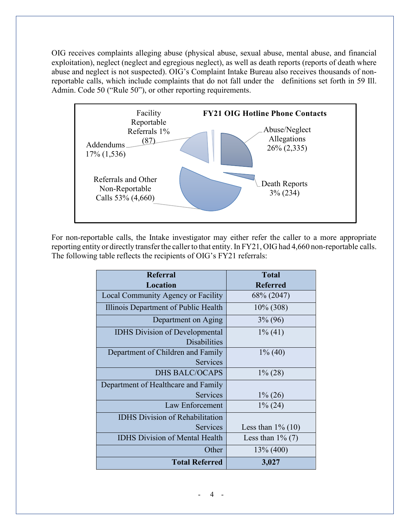OIG receives complaints alleging abuse (physical abuse, sexual abuse, mental abuse, and financial exploitation), neglect (neglect and egregious neglect), as well as death reports (reports of death where abuse and neglect is not suspected). OIG's Complaint Intake Bureau also receives thousands of nonreportable calls, which include complaints that do not fall under the definitions set forth in 59 Ill. Admin. Code 50 ("Rule 50"), or other reporting requirements.



For non-reportable calls, the Intake investigator may either refer the caller to a more appropriate reporting entity or directly transfer the caller to that entity. In FY21, OIG had 4,660 non-reportable calls. The following table reflects the recipients of OIG's FY21 referrals:

<span id="page-7-0"></span>

| <b>Referral</b>                        | <b>Total</b>         |
|----------------------------------------|----------------------|
| Location                               | <b>Referred</b>      |
| Local Community Agency or Facility     | 68\% (2047)          |
| Illinois Department of Public Health   | $10\%$ (308)         |
| Department on Aging                    | $3\% (96)$           |
| <b>IDHS</b> Division of Developmental  | $1\%$ (41)           |
| <b>Disabilities</b>                    |                      |
| Department of Children and Family      | $1\%$ (40)           |
| Services                               |                      |
| <b>DHS BALC/OCAPS</b>                  | $1\% (28)$           |
| Department of Healthcare and Family    |                      |
| Services                               | $1\% (26)$           |
| Law Enforcement                        | $1\% (24)$           |
| <b>IDHS</b> Division of Rehabilitation |                      |
| Services                               | Less than $1\%$ (10) |
| <b>IDHS Division of Mental Health</b>  | Less than $1\%$ (7)  |
| Other                                  | $13\%$ (400)         |
| <b>Total Referred</b>                  | 3,027                |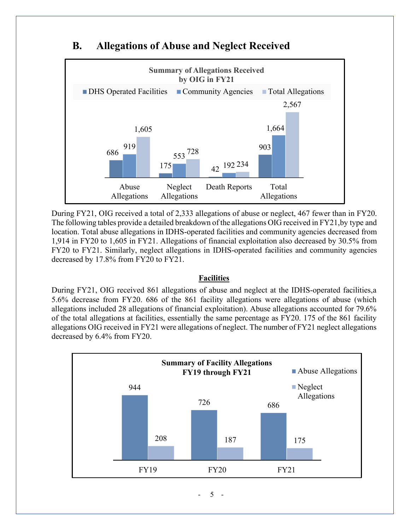

### **B. Allegations of Abuse and Neglect Received**

During FY21, OIG received a total of 2,333 allegations of abuse or neglect, 467 fewer than in FY20. The following tables provide a detailed breakdown of the allegations OIG received in FY21,by type and location. Total abuse allegations in IDHS-operated facilities and community agencies decreased from 1,914 in FY20 to 1,605 in FY21. Allegations of financial exploitation also decreased by 30.5% from FY20 to FY21. Similarly, neglect allegations in IDHS-operated facilities and community agencies decreased by 17.8% from FY20 to FY21.

#### **Facilities**

During FY21, OIG received 861 allegations of abuse and neglect at the IDHS-operated facilities,a 5.6% decrease from FY20. 686 of the 861 facility allegations were allegations of abuse (which allegations included 28 allegations of financial exploitation). Abuse allegations accounted for 79.6% of the total allegations at facilities, essentially the same percentage as FY20. 175 of the 861 facility allegations OIG received in FY21 were allegations of neglect. The number of FY21 neglect allegations decreased by 6.4% from FY20.

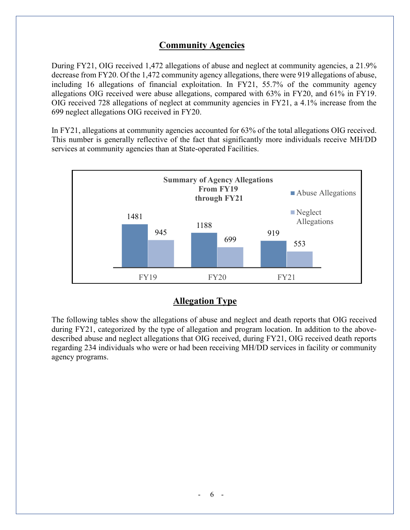#### **Community Agencies**

During FY21, OIG received 1,472 allegations of abuse and neglect at community agencies, a 21.9% decrease from FY20. Of the 1,472 community agency allegations, there were 919 allegations of abuse, including 16 allegations of financial exploitation. In FY21, 55.7% of the community agency allegations OIG received were abuse allegations, compared with 63% in FY20, and 61% in FY19. OIG received 728 allegations of neglect at community agencies in FY21, a 4.1% increase from the 699 neglect allegations OIG received in FY20.

In FY21, allegations at community agencies accounted for 63% of the total allegations OIG received. This number is generally reflective of the fact that significantly more individuals receive MH/DD services at community agencies than at State-operated Facilities.



#### **Allegation Type**

The following tables show the allegations of abuse and neglect and death reports that OIG received during FY21, categorized by the type of allegation and program location. In addition to the abovedescribed abuse and neglect allegations that OIG received, during FY21, OIG received death reports regarding 234 individuals who were or had been receiving MH/DD services in facility or community agency programs.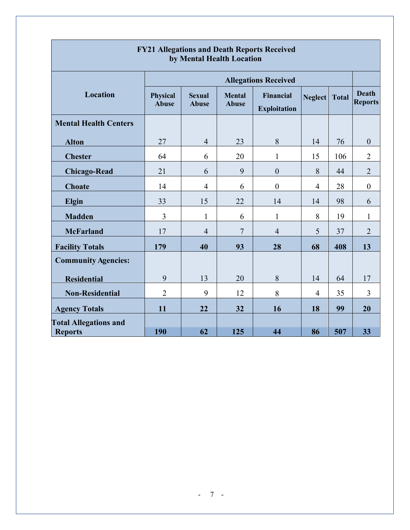| by Mental Health Location    |                                 |                               |                               |                                         |                |              |                                |  |
|------------------------------|---------------------------------|-------------------------------|-------------------------------|-----------------------------------------|----------------|--------------|--------------------------------|--|
|                              | <b>Allegations Received</b>     |                               |                               |                                         |                |              |                                |  |
| Location                     | <b>Physical</b><br><b>Abuse</b> | <b>Sexual</b><br><b>Abuse</b> | <b>Mental</b><br><b>Abuse</b> | <b>Financial</b><br><b>Exploitation</b> | <b>Neglect</b> | <b>Total</b> | <b>Death</b><br><b>Reports</b> |  |
| <b>Mental Health Centers</b> |                                 |                               |                               |                                         |                |              |                                |  |
| <b>Alton</b>                 | 27                              | $\overline{4}$                | 23                            | 8                                       | 14             | 76           | $\boldsymbol{0}$               |  |
| <b>Chester</b>               | 64                              | 6                             | 20                            | 1                                       | 15             | 106          | $\overline{2}$                 |  |
| <b>Chicago-Read</b>          | 21                              | 6                             | 9                             | $\boldsymbol{0}$                        | 8              | 44           | $\overline{2}$                 |  |
| <b>Choate</b>                | 14                              | $\overline{4}$                | 6                             | $\boldsymbol{0}$                        | 4              | 28           | $\boldsymbol{0}$               |  |
| Elgin                        | 33                              | 15                            | 22                            | 14                                      | 14             | 98           | 6                              |  |
| <b>Madden</b>                | $\overline{3}$                  | $\mathbf{1}$                  | 6                             | $\mathbf{1}$                            | 8              | 19           | 1                              |  |
| <b>McFarland</b>             | 17                              | $\overline{4}$                | $\overline{7}$                | $\overline{4}$                          | 5              | 37           | $\overline{2}$                 |  |
| <b>Facility Totals</b>       | 179                             | 40                            | 93                            | 28                                      | 68             | 408          | 13                             |  |
| <b>Community Agencies:</b>   |                                 |                               |                               |                                         |                |              |                                |  |
| <b>Residential</b>           | 9                               | 13                            | 20                            | 8                                       | 14             | 64           | 17                             |  |
| <b>Non-Residential</b>       | $\overline{2}$                  | 9                             | 12                            | 8                                       | 4              | 35           | 3                              |  |
| <b>Agency Totals</b>         | 11                              | 22                            | 32                            | 16                                      | 18             | 99           | 20                             |  |
| <b>Total Allegations and</b> |                                 |                               |                               |                                         |                |              |                                |  |
| <b>Reports</b>               | 190                             | 62                            | 125                           | 44                                      | 86             | 507          | 33                             |  |

## **FY21 Allegations and Death Reports Received**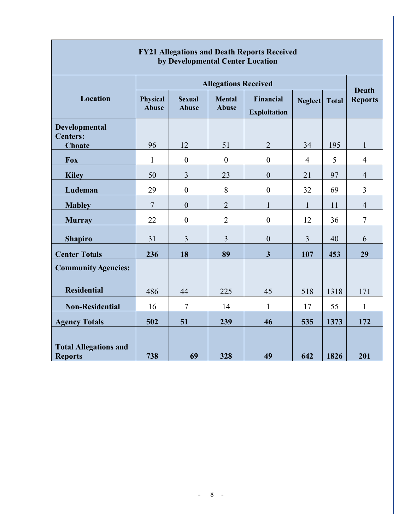|                                                | <b>Allegations Received</b>     |                               |                               |                                  |                |              |                                |  |
|------------------------------------------------|---------------------------------|-------------------------------|-------------------------------|----------------------------------|----------------|--------------|--------------------------------|--|
| <b>Location</b>                                | <b>Physical</b><br><b>Abuse</b> | <b>Sexual</b><br><b>Abuse</b> | <b>Mental</b><br><b>Abuse</b> | Financial<br><b>Exploitation</b> | Neglect        | <b>Total</b> | <b>Death</b><br><b>Reports</b> |  |
| Developmental<br><b>Centers:</b>               |                                 |                               |                               |                                  |                |              |                                |  |
| <b>Choate</b>                                  | 96                              | 12                            | 51                            | $\overline{2}$                   | 34             | 195          | $\mathbf{1}$                   |  |
| <b>Fox</b>                                     | $\mathbf{1}$                    | $\boldsymbol{0}$              | $\boldsymbol{0}$              | $\boldsymbol{0}$                 | $\overline{4}$ | 5            | $\overline{4}$                 |  |
| <b>Kiley</b>                                   | 50                              | $\mathfrak{Z}$                | 23                            | $\boldsymbol{0}$                 | 21             | 97           | $\overline{4}$                 |  |
| Ludeman                                        | 29                              | $\boldsymbol{0}$              | 8                             | $\boldsymbol{0}$                 | 32             | 69           | $\overline{3}$                 |  |
| <b>Mabley</b>                                  | $\tau$                          | $\boldsymbol{0}$              | $\overline{2}$                | $\mathbf{1}$                     | $\mathbf{1}$   | 11           | $\overline{4}$                 |  |
| <b>Murray</b>                                  | 22                              | $\boldsymbol{0}$              | $\overline{2}$                | $\boldsymbol{0}$                 | 12             | 36           | 7                              |  |
| <b>Shapiro</b>                                 | 31                              | 3                             | $\overline{3}$                | $\boldsymbol{0}$                 | $\overline{3}$ | 40           | 6                              |  |
| <b>Center Totals</b>                           | 236                             | 18                            | 89                            | $\overline{\mathbf{3}}$          | 107            | 453          | 29                             |  |
| <b>Community Agencies:</b>                     |                                 |                               |                               |                                  |                |              |                                |  |
| <b>Residential</b>                             | 486                             | 44                            | 225                           | 45                               | 518            | 1318         | 171                            |  |
| <b>Non-Residential</b>                         | 16                              | $\overline{7}$                | 14                            | $\mathbf{1}$                     | 17             | 55           | $\mathbf{1}$                   |  |
| <b>Agency Totals</b>                           | 502                             | 51                            | 239                           | 46                               | 535            | 1373         | 172                            |  |
| <b>Total Allegations and</b><br><b>Reports</b> | 738                             | 69                            | 328                           | 49                               | 642            | 1826         | 201                            |  |

#### **FY21 Allegations and Death Reports Received by Developmental Center Location**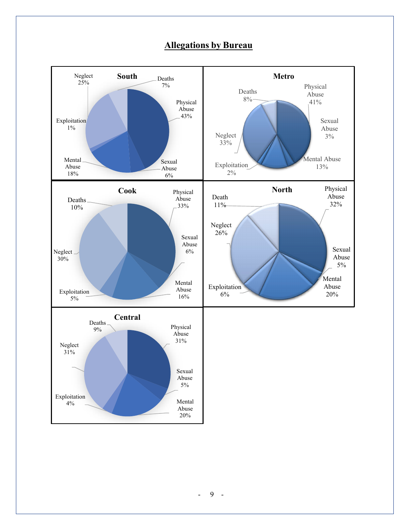

#### **Allegations by Bureau**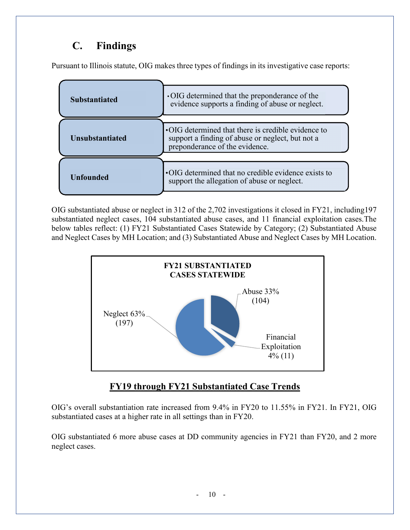## **C. Findings**

Pursuant to Illinois statute, OIG makes three types of findings in its investigative case reports:

| <b>Substantiated</b>   | • OIG determined that the preponderance of the<br>evidence supports a finding of abuse or neglect.                                       |
|------------------------|------------------------------------------------------------------------------------------------------------------------------------------|
| <b>Unsubstantiated</b> | •OIG determined that there is credible evidence to<br>support a finding of abuse or neglect, but not a<br>preponderance of the evidence. |
| <b>Unfounded</b>       | •OIG determined that no credible evidence exists to<br>support the allegation of abuse or neglect.                                       |

OIG substantiated abuse or neglect in 312 of the 2,702 investigations it closed in FY21, including197 substantiated neglect cases, 104 substantiated abuse cases, and 11 financial exploitation cases.The below tables reflect: (1) FY21 Substantiated Cases Statewide by Category; (2) Substantiated Abuse and Neglect Cases by MH Location; and (3) Substantiated Abuse and Neglect Cases by MH Location.



### **FY19 through FY21 Substantiated Case Trends**

OIG's overall substantiation rate increased from 9.4% in FY20 to 11.55% in FY21. In FY21, OIG substantiated cases at a higher rate in all settings than in FY20.

OIG substantiated 6 more abuse cases at DD community agencies in FY21 than FY20, and 2 more neglect cases.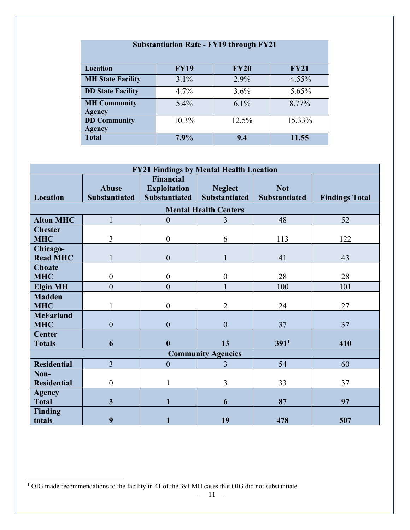| <b>Substantiation Rate - FY19 through FY21</b>        |          |         |        |  |  |  |  |  |  |
|-------------------------------------------------------|----------|---------|--------|--|--|--|--|--|--|
| Location<br><b>FY19</b><br><b>FY20</b><br><b>FY21</b> |          |         |        |  |  |  |  |  |  |
| <b>MH State Facility</b>                              | 3.1%     | 2.9%    | 4.55%  |  |  |  |  |  |  |
| <b>DD State Facility</b>                              | 4.7%     | 3.6%    | 5.65%  |  |  |  |  |  |  |
| <b>MH Community</b><br><b>Agency</b>                  | $5.4\%$  | $6.1\%$ | 8.77%  |  |  |  |  |  |  |
| <b>DD Community</b>                                   | $10.3\%$ | 12.5%   | 15.33% |  |  |  |  |  |  |
| Agency<br><b>Total</b>                                | $7.9\%$  | 9.4     | 11.55  |  |  |  |  |  |  |

| <b>FY21 Findings by Mental Health Location</b> |                                      |                                                                 |                                        |                             |                       |  |  |  |  |
|------------------------------------------------|--------------------------------------|-----------------------------------------------------------------|----------------------------------------|-----------------------------|-----------------------|--|--|--|--|
| Location                                       | <b>Abuse</b><br><b>Substantiated</b> | <b>Financial</b><br><b>Exploitation</b><br><b>Substantiated</b> | <b>Neglect</b><br><b>Substantiated</b> | <b>Not</b><br>Substantiated | <b>Findings Total</b> |  |  |  |  |
|                                                | <b>Mental Health Centers</b>         |                                                                 |                                        |                             |                       |  |  |  |  |
| <b>Alton MHC</b>                               | $\mathbf{1}$                         | $\theta$                                                        | 3                                      | 48                          | 52                    |  |  |  |  |
| <b>Chester</b><br><b>MHC</b>                   | 3                                    | $\boldsymbol{0}$                                                | 6                                      | 113                         | 122                   |  |  |  |  |
| Chicago-<br><b>Read MHC</b>                    | 1                                    | $\boldsymbol{0}$                                                | $\mathbf{1}$                           | 41                          | 43                    |  |  |  |  |
| <b>Choate</b><br><b>MHC</b>                    | $\boldsymbol{0}$                     | $\boldsymbol{0}$                                                | $\boldsymbol{0}$                       | 28                          | 28                    |  |  |  |  |
| <b>Elgin MH</b>                                | $\mathbf{0}$                         | $\overline{0}$                                                  |                                        | 100                         | 101                   |  |  |  |  |
| <b>Madden</b><br><b>MHC</b>                    | 1                                    | $\boldsymbol{0}$                                                | $\overline{2}$                         | 24                          | 27                    |  |  |  |  |
| <b>McFarland</b><br><b>MHC</b>                 | $\mathbf{0}$                         | $\mathbf{0}$                                                    | $\overline{0}$                         | 37                          | 37                    |  |  |  |  |
| <b>Center</b><br><b>Totals</b>                 | 6                                    | $\boldsymbol{0}$                                                | 13                                     | 391 <sup>1</sup>            | 410                   |  |  |  |  |
|                                                |                                      |                                                                 | <b>Community Agencies</b>              |                             |                       |  |  |  |  |
| <b>Residential</b>                             | $\overline{3}$                       | $\boldsymbol{0}$                                                | 3                                      | 54                          | 60                    |  |  |  |  |
| Non-<br><b>Residential</b>                     | $\boldsymbol{0}$                     |                                                                 | $\overline{3}$                         | 33                          | 37                    |  |  |  |  |
| <b>Agency</b><br><b>Total</b>                  | 3                                    | $\mathbf{1}$                                                    | 6                                      | 87                          | 97                    |  |  |  |  |
| <b>Finding</b><br>totals                       | 9                                    | 1                                                               | 19                                     | 478                         | 507                   |  |  |  |  |

<span id="page-14-0"></span><sup>&</sup>lt;sup>1</sup> OIG made recommendations to the facility in 41 of the 391 MH cases that OIG did not substantiate.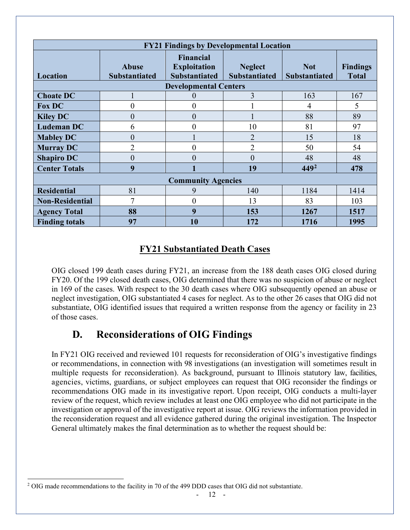| <b>FY21 Findings by Developmental Location</b> |                               |                                                                 |                                        |                                    |                                 |  |  |
|------------------------------------------------|-------------------------------|-----------------------------------------------------------------|----------------------------------------|------------------------------------|---------------------------------|--|--|
| Location                                       | Abuse<br><b>Substantiated</b> | <b>Financial</b><br><b>Exploitation</b><br><b>Substantiated</b> | <b>Neglect</b><br><b>Substantiated</b> | <b>Not</b><br><b>Substantiated</b> | <b>Findings</b><br><b>Total</b> |  |  |
|                                                |                               | <b>Developmental Centers</b>                                    |                                        |                                    |                                 |  |  |
| <b>Choate DC</b>                               |                               | $\theta$                                                        | 3                                      | 163                                | 167                             |  |  |
| <b>Fox DC</b>                                  | 0                             | 0                                                               |                                        | $\overline{4}$                     | 5                               |  |  |
| <b>Kiley DC</b>                                | $\overline{0}$                | $\overline{0}$                                                  |                                        | 88                                 | 89                              |  |  |
| <b>Ludeman DC</b>                              | 6                             | $\overline{0}$                                                  | 10                                     | 81                                 | 97                              |  |  |
| <b>Mabley DC</b>                               | $\overline{0}$                |                                                                 | $\overline{2}$                         | 15                                 | 18                              |  |  |
| <b>Murray DC</b>                               | $\overline{2}$                | $\overline{0}$                                                  | $\overline{2}$                         | 50                                 | 54                              |  |  |
| <b>Shapiro DC</b>                              | $\overline{0}$                | $\overline{0}$                                                  | $\overline{0}$                         | 48                                 | 48                              |  |  |
| <b>Center Totals</b>                           | 9                             |                                                                 | 19                                     | $449^2$                            | 478                             |  |  |
|                                                |                               | <b>Community Agencies</b>                                       |                                        |                                    |                                 |  |  |
| <b>Residential</b>                             | 81                            | 9                                                               | 140                                    | 1184                               | 1414                            |  |  |
| <b>Non-Residential</b>                         | $\overline{7}$                | $\theta$                                                        | 13                                     | 83                                 | 103                             |  |  |
| <b>Agency Total</b>                            | 88                            | 9                                                               | 153                                    | 1267                               | 1517                            |  |  |
| <b>Finding totals</b>                          | 97                            | 10                                                              | 172                                    | 1716                               | 1995                            |  |  |

#### **FY21 Substantiated Death Cases**

OIG closed 199 death cases during FY21, an increase from the 188 death cases OIG closed during FY20. Of the 199 closed death cases, OIG determined that there was no suspicion of abuse or neglect in 169 of the cases. With respect to the 30 death cases where OIG subsequently opened an abuse or neglect investigation, OIG substantiated 4 cases for neglect. As to the other 26 cases that OIG did not substantiate, OIG identified issues that required a written response from the agency or facility in 23 of those cases.

## **D. Reconsiderations of OIG Findings**

<span id="page-15-0"></span>In FY21 OIG received and reviewed 101 requests for reconsideration of OIG's investigative findings or recommendations, in connection with 98 investigations (an investigation will sometimes result in multiple requests for reconsideration). As background, pursuant to Illinois statutory law, facilities, agencies, victims, guardians, or subject employees can request that OIG reconsider the findings or recommendations OIG made in its investigative report. Upon receipt, OIG conducts a multi-layer review of the request, which review includes at least one OIG employee who did not participate in the investigation or approval of the investigative report at issue. OIG reviews the information provided in the reconsideration request and all evidence gathered during the original investigation. The Inspector General ultimately makes the final determination as to whether the request should be:

<span id="page-15-1"></span><sup>&</sup>lt;sup>2</sup> OIG made recommendations to the facility in 70 of the 499 DDD cases that OIG did not substantiate.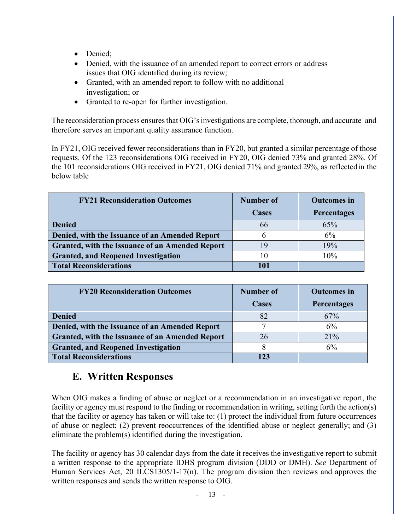- Denied:
- Denied, with the issuance of an amended report to correct errors or address issues that OIG identified during its review;
- Granted, with an amended report to follow with no additional investigation; or
- Granted to re-open for further investigation.

The reconsideration process ensures that OIG's investigations are complete, thorough, and accurate and therefore serves an important quality assurance function.

In FY21, OIG received fewer reconsiderations than in FY20, but granted a similar percentage of those requests. Of the 123 reconsiderations OIG received in FY20, OIG denied 73% and granted 28%. Of the 101 reconsiderations OIG received in FY21, OIG denied 71% and granted 29%, as reflected in the below table

| <b>FY21 Reconsideration Outcomes</b>                   | Number of | <b>Outcomes</b> in |
|--------------------------------------------------------|-----------|--------------------|
|                                                        | Cases     | <b>Percentages</b> |
| <b>Denied</b>                                          | 66        | 65%                |
| Denied, with the Issuance of an Amended Report         |           | 6%                 |
| <b>Granted, with the Issuance of an Amended Report</b> | 19        | 19%                |
| <b>Granted, and Reopened Investigation</b>             | 10        | 10%                |
| <b>Total Reconsiderations</b>                          | 101       |                    |

| <b>FY20 Reconsideration Outcomes</b>                   | <b>Number of</b> | <b>Outcomes</b> in |
|--------------------------------------------------------|------------------|--------------------|
|                                                        | <b>Cases</b>     | Percentages        |
| <b>Denied</b>                                          | 82               | 67%                |
| Denied, with the Issuance of an Amended Report         |                  | 6%                 |
| <b>Granted, with the Issuance of an Amended Report</b> | 26               | 21%                |
| <b>Granted, and Reopened Investigation</b>             |                  | 6%                 |
| <b>Total Reconsiderations</b>                          | 123              |                    |

### **E. Written Responses**

<span id="page-16-0"></span>When OIG makes a finding of abuse or neglect or a recommendation in an investigative report, the facility or agency must respond to the finding or recommendation in writing, setting forth the action(s) that the facility or agency has taken or will take to: (1) protect the individual from future occurrences of abuse or neglect; (2) prevent reoccurrences of the identified abuse or neglect generally; and (3) eliminate the problem(s) identified during the investigation.

The facility or agency has 30 calendar days from the date it receives the investigative report to submit a written response to the appropriate IDHS program division (DDD or DMH). *See* Department of Human Services Act, 20 ILCS1305/1-17(n). The program division then reviews and approves the written responses and sends the written response to OIG.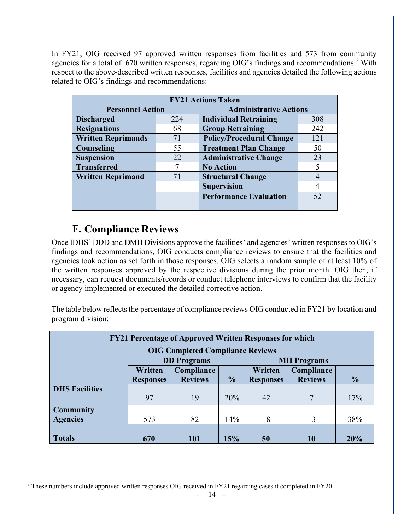In FY21, OIG received 97 approved written responses from facilities and 573 from community agencies for a total of 670 written responses, regarding OIG's findings and recommendations.<sup>[3](#page-17-1)</sup> With respect to the above-described written responses, facilities and agencies detailed the following actions related to OIG's findings and recommendations:

| <b>FY21 Actions Taken</b> |     |                                 |     |
|---------------------------|-----|---------------------------------|-----|
| <b>Personnel Action</b>   |     | <b>Administrative Actions</b>   |     |
| <b>Discharged</b>         | 224 | <b>Individual Retraining</b>    | 308 |
| <b>Resignations</b>       | 68  | <b>Group Retraining</b>         | 242 |
| <b>Written Reprimands</b> | 71  | <b>Policy/Procedural Change</b> | 121 |
| Counseling                | 55  | <b>Treatment Plan Change</b>    | 50  |
| <b>Suspension</b>         | 22  | <b>Administrative Change</b>    | 23  |
| <b>Transferred</b>        |     | <b>No Action</b>                | 5   |
| <b>Written Reprimand</b>  | 71  | <b>Structural Change</b>        | 4   |
|                           |     | <b>Supervision</b>              | 4   |
|                           |     | <b>Performance Evaluation</b>   | 52  |
|                           |     |                                 |     |

## **F. Compliance Reviews**

<span id="page-17-0"></span>Once IDHS' DDD and DMH Divisions approve the facilities' and agencies' written responses to OIG's findings and recommendations, OIG conducts compliance reviews to ensure that the facilities and agencies took action as set forth in those responses. OIG selects a random sample of at least 10% of the written responses approved by the respective divisions during the prior month. OIG then, if necessary, can request documents/records or conduct telephone interviews to confirm that the facility or agency implemented or executed the detailed corrective action.

The table below reflects the percentage of compliance reviews OIG conducted in FY21 by location and program division:

| <b>FY21 Percentage of Approved Written Responses for which</b> |                  |                                         |               |                  |                    |               |  |
|----------------------------------------------------------------|------------------|-----------------------------------------|---------------|------------------|--------------------|---------------|--|
|                                                                |                  | <b>OIG Completed Compliance Reviews</b> |               |                  |                    |               |  |
|                                                                |                  | <b>DD</b> Programs                      |               |                  | <b>MH</b> Programs |               |  |
|                                                                | Written          | Compliance                              |               | Written          | Compliance         |               |  |
|                                                                | <b>Responses</b> | <b>Reviews</b>                          | $\frac{6}{6}$ | <b>Responses</b> | <b>Reviews</b>     | $\frac{1}{2}$ |  |
| <b>DHS Facilities</b>                                          |                  |                                         |               |                  |                    |               |  |
|                                                                | 97               | 19                                      | 20%           | 42               | 7                  | 17%           |  |
| <b>Community</b>                                               |                  |                                         |               |                  |                    |               |  |
| <b>Agencies</b>                                                | 573              | 82                                      | 14%           | 8                | 3                  | 38%           |  |
|                                                                |                  |                                         |               |                  |                    |               |  |
| <b>Totals</b>                                                  | 670              | 101                                     | 15%           | 50               | 10                 | 20%           |  |

<span id="page-17-1"></span><sup>&</sup>lt;sup>3</sup> These numbers include approved written responses OIG received in FY21 regarding cases it completed in FY20.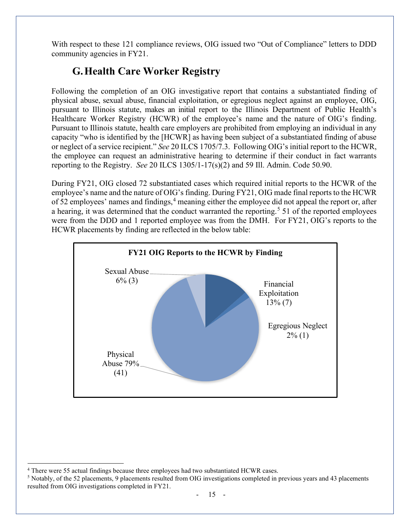<span id="page-18-0"></span>With respect to these 121 compliance reviews, OIG issued two "Out of Compliance" letters to DDD community agencies in FY21.

## **G.Health Care Worker Registry**

Following the completion of an OIG investigative report that contains a substantiated finding of physical abuse, sexual abuse, financial exploitation, or egregious neglect against an employee, OIG, pursuant to Illinois statute, makes an initial report to the Illinois Department of Public Health's Healthcare Worker Registry (HCWR) of the employee's name and the nature of OIG's finding. Pursuant to Illinois statute, health care employers are prohibited from employing an individual in any capacity "who is identified by the [HCWR] as having been subject of a substantiated finding of abuse or neglect of a service recipient." *See* 20 ILCS 1705/7.3. Following OIG's initial report to the HCWR, the employee can request an administrative hearing to determine if their conduct in fact warrants reporting to the Registry. *See* 20 ILCS 1305/1-17(s)(2) and 59 Ill. Admin. Code 50.90.

During FY21, OIG closed 72 substantiated cases which required initial reports to the HCWR of the employee's name and the nature of OIG's finding. During FY21, OIG made final reports to the HCWR of 52 employees' names and findings, [4](#page-18-1) meaning either the employee did not appeal the report or, after a hearing, it was determined that the conduct warranted the reporting.<sup>[5](#page-18-2)</sup> 51 of the reported employees were from the DDD and 1 reported employee was from the DMH. For FY21, OIG's reports to the HCWR placements by finding are reflected in the below table:



<span id="page-18-1"></span><sup>4</sup> There were 55 actual findings because three employees had two substantiated HCWR cases.

<span id="page-18-2"></span><sup>5</sup> Notably, of the 52 placements, 9 placements resulted from OIG investigations completed in previous years and 43 placements resulted from OIG investigations completed in FY21.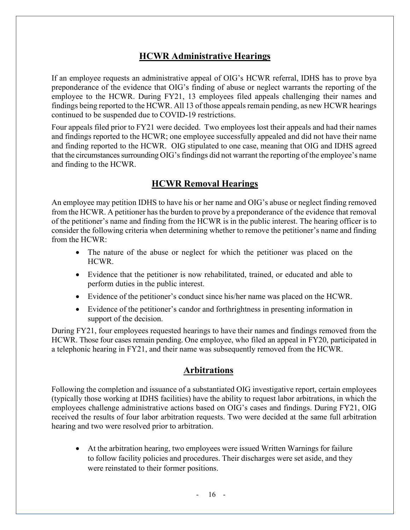### **HCWR Administrative Hearings**

If an employee requests an administrative appeal of OIG's HCWR referral, IDHS has to prove bya preponderance of the evidence that OIG's finding of abuse or neglect warrants the reporting of the employee to the HCWR. During FY21, 13 employees filed appeals challenging their names and findings being reported to the HCWR. All 13 of those appeals remain pending, as new HCWR hearings continued to be suspended due to COVID-19 restrictions.

Four appeals filed prior to FY21 were decided. Two employees lost their appeals and had their names and findings reported to the HCWR; one employee successfully appealed and did not have their name and finding reported to the HCWR. OIG stipulated to one case, meaning that OIG and IDHS agreed that the circumstances surrounding OIG'sfindings did not warrant the reporting of the employee's name and finding to the HCWR.

#### **HCWR Removal Hearings**

An employee may petition IDHS to have his or her name and OIG's abuse or neglect finding removed from the HCWR. A petitioner has the burden to prove by a preponderance of the evidence that removal of the petitioner's name and finding from the HCWR is in the public interest. The hearing officer is to consider the following criteria when determining whether to remove the petitioner's name and finding from the HCWR:

- The nature of the abuse or neglect for which the petitioner was placed on the HCWR.
- Evidence that the petitioner is now rehabilitated, trained, or educated and able to perform duties in the public interest.
- Evidence of the petitioner's conduct since his/her name was placed on the HCWR.
- Evidence of the petitioner's candor and forthrightness in presenting information in support of the decision.

During FY21, four employees requested hearings to have their names and findings removed from the HCWR. Those four cases remain pending. One employee, who filed an appeal in FY20, participated in a telephonic hearing in FY21, and their name was subsequently removed from the HCWR.

#### **Arbitrations**

Following the completion and issuance of a substantiated OIG investigative report, certain employees (typically those working at IDHS facilities) have the ability to request labor arbitrations, in which the employees challenge administrative actions based on OIG's cases and findings. During FY21, OIG received the results of four labor arbitration requests. Two were decided at the same full arbitration hearing and two were resolved prior to arbitration.

• At the arbitration hearing, two employees were issued Written Warnings for failure to follow facility policies and procedures. Their discharges were set aside, and they were reinstated to their former positions.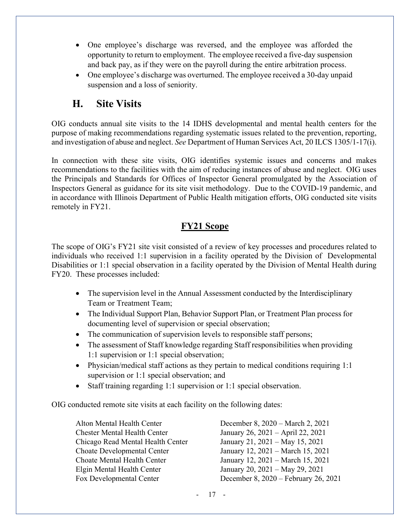- One employee's discharge was reversed, and the employee was afforded the opportunity to return to employment. The employee received a five-day suspension and back pay, as if they were on the payroll during the entire arbitration process.
- One employee's discharge was overturned. The employee received a 30-day unpaid suspension and a loss of seniority.

### **H. Site Visits**

<span id="page-20-0"></span>OIG conducts annual site visits to the 14 IDHS developmental and mental health centers for the purpose of making recommendations regarding systematic issues related to the prevention, reporting, and investigation of abuse and neglect. *See* Department of Human Services Act, 20 ILCS 1305/1-17(i).

In connection with these site visits, OIG identifies systemic issues and concerns and makes recommendations to the facilities with the aim of reducing instances of abuse and neglect. OIG uses the Principals and Standards for Offices of Inspector General promulgated by the Association of Inspectors General as guidance for its site visit methodology. Due to the COVID-19 pandemic, and in accordance with Illinois Department of Public Health mitigation efforts, OIG conducted site visits remotely in FY21.

### **FY21 Scope**

The scope of OIG's FY21 site visit consisted of a review of key processes and procedures related to individuals who received 1:1 supervision in a facility operated by the Division of Developmental Disabilities or 1:1 special observation in a facility operated by the Division of Mental Health during FY20. These processes included:

- The supervision level in the Annual Assessment conducted by the Interdisciplinary Team or Treatment Team;
- The Individual Support Plan, Behavior Support Plan, or Treatment Plan process for documenting level of supervision or special observation;
- The communication of supervision levels to responsible staff persons;
- The assessment of Staff knowledge regarding Staff responsibilities when providing 1:1 supervision or 1:1 special observation;
- Physician/medical staff actions as they pertain to medical conditions requiring 1:1 supervision or 1:1 special observation; and
- Staff training regarding 1:1 supervision or 1:1 special observation.

OIG conducted remote site visits at each facility on the following dates:

Chester Mental Health Center January 26, 2021 – April 22, 2021 Chicago Read Mental Health Center January 21, 2021 – May 15, 2021 Choate Developmental Center January 12, 2021 – March 15, 2021 Choate Mental Health Center January 12, 2021 – March 15, 2021 Elgin Mental Health Center January 20, 2021 – May 29, 2021

Alton Mental Health Center December 8, 2020 – March 2, 2021 Fox Developmental Center December 8, 2020 – February 26, 2021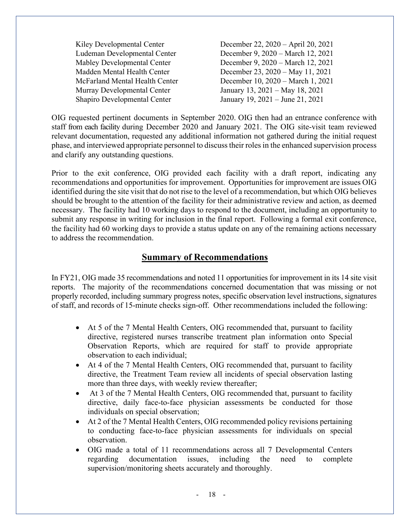Kiley Developmental Center December 22, 2020 – April 20, 2021 Ludeman Developmental Center December 9, 2020 – March 12, 2021 Mabley Developmental Center December 9, 2020 – March 12, 2021 Madden Mental Health Center December 23, 2020 – May 11, 2021 McFarland Mental Health Center December 10, 2020 – March 1, 2021 Murray Developmental Center January 13, 2021 – May 18, 2021 Shapiro Developmental Center January 19, 2021 – June 21, 2021

OIG requested pertinent documents in September 2020. OIG then had an entrance conference with staff from each facility during December 2020 and January 2021. The OIG site-visit team reviewed relevant documentation, requested any additional information not gathered during the initial request phase, and interviewed appropriate personnel to discusstheir roles in the enhanced supervision process and clarify any outstanding questions.

Prior to the exit conference, OIG provided each facility with a draft report, indicating any recommendations and opportunities for improvement. Opportunities for improvement are issues OIG identified during the site visit that do not rise to the level of a recommendation, but which OIG believes should be brought to the attention of the facility for their administrative review and action, as deemed necessary. The facility had 10 working days to respond to the document, including an opportunity to submit any response in writing for inclusion in the final report. Following a formal exit conference, the facility had 60 working days to provide a status update on any of the remaining actions necessary to address the recommendation.

#### **Summary of Recommendations**

In FY21, OIG made 35 recommendations and noted 11 opportunities for improvement in its 14 site visit reports. The majority of the recommendations concerned documentation that was missing or not properly recorded, including summary progress notes, specific observation level instructions, signatures of staff, and records of 15-minute checks sign-off. Other recommendations included the following:

- At 5 of the 7 Mental Health Centers, OIG recommended that, pursuant to facility directive, registered nurses transcribe treatment plan information onto Special Observation Reports, which are required for staff to provide appropriate observation to each individual;
- At 4 of the 7 Mental Health Centers, OIG recommended that, pursuant to facility directive, the Treatment Team review all incidents of special observation lasting more than three days, with weekly review thereafter;
- At 3 of the 7 Mental Health Centers, OIG recommended that, pursuant to facility directive, daily face-to-face physician assessments be conducted for those individuals on special observation;
- At 2 of the 7 Mental Health Centers, OIG recommended policy revisions pertaining to conducting face-to-face physician assessments for individuals on special observation.
- OIG made a total of 11 recommendations across all 7 Developmental Centers regarding documentation issues, including the need to complete supervision/monitoring sheets accurately and thoroughly.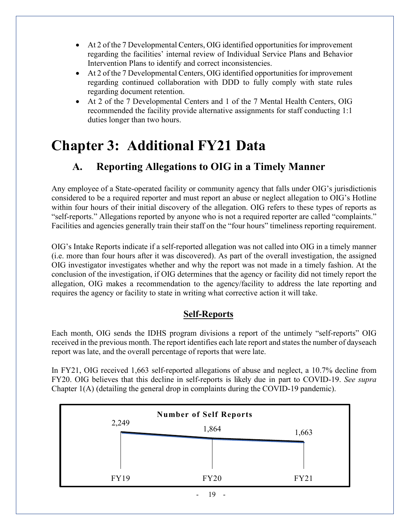- At 2 of the 7 Developmental Centers, OIG identified opportunities for improvement regarding the facilities' internal review of Individual Service Plans and Behavior Intervention Plans to identify and correct inconsistencies.
- At 2 of the 7 Developmental Centers, OIG identified opportunities for improvement regarding continued collaboration with DDD to fully comply with state rules regarding document retention.
- At 2 of the 7 Developmental Centers and 1 of the 7 Mental Health Centers, OIG recommended the facility provide alternative assignments for staff conducting 1:1 duties longer than two hours.

## <span id="page-22-0"></span>**Chapter 3: Additional FY21 Data**

## **A. Reporting Allegations to OIG in a Timely Manner**

Any employee of a State-operated facility or community agency that falls under OIG's jurisdictionis considered to be a required reporter and must report an abuse or neglect allegation to OIG's Hotline within four hours of their initial discovery of the allegation. OIG refers to these types of reports as "self-reports." Allegations reported by anyone who is not a required reporter are called "complaints." Facilities and agencies generally train their staff on the "four hours" timeliness reporting requirement.

OIG's Intake Reports indicate if a self-reported allegation was not called into OIG in a timely manner (i.e. more than four hours after it was discovered). As part of the overall investigation, the assigned OIG investigator investigates whether and why the report was not made in a timely fashion. At the conclusion of the investigation, if OIG determines that the agency or facility did not timely report the allegation, OIG makes a recommendation to the agency/facility to address the late reporting and requires the agency or facility to state in writing what corrective action it will take.

#### **Self-Reports**

Each month, OIG sends the IDHS program divisions a report of the untimely "self-reports" OIG received in the previous month. The report identifies each late report and states the number of dayseach report was late, and the overall percentage of reports that were late.

In FY21, OIG received 1,663 self-reported allegations of abuse and neglect, a 10.7% decline from FY20. OIG believes that this decline in self-reports is likely due in part to COVID-19. *See supra* Chapter 1(A) (detailing the general drop in complaints during the COVID-19 pandemic).

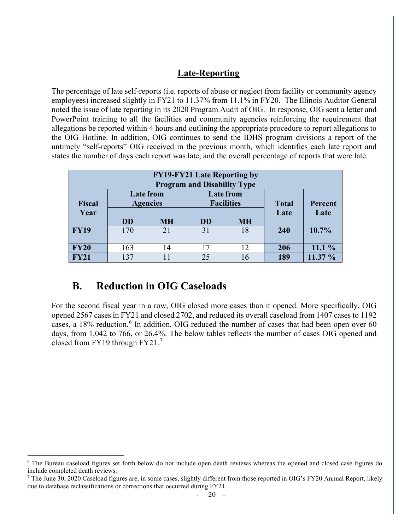#### **Late-Reporting**

The percentage of late self-reports (i.e. reports of abuse or neglect from facility or community agency employees) increased slightly in FY21 to 11.37% from 11.1% in FY20. The Illinois Auditor General noted the issue of late reporting in its 2020 Program Audit of OIG. In response, OIG sent a letter and PowerPoint training to all the facilities and community agencies reinforcing the requirement that allegations be reported within 4 hours and outlining the appropriate procedure to report allegations to the OIG Hotline. In addition, OIG continues to send the IDHS program divisions a report of the untimely "self-reports" OIG received in the previous month, which identifies each late report and states the number of days each report was late, and the overall percentage of reports that were late.

| <b>FY19-FY21 Late Reporting by</b><br><b>Program and Disability Type</b> |                                     |           |           |                                       |              |         |
|--------------------------------------------------------------------------|-------------------------------------|-----------|-----------|---------------------------------------|--------------|---------|
| <b>Fiscal</b>                                                            | <b>Late from</b><br><b>Agencies</b> |           |           | <b>Late from</b><br><b>Facilities</b> | <b>Total</b> | Percent |
| Year                                                                     | <b>DD</b>                           | <b>MH</b> | <b>DD</b> | <b>MH</b>                             | Late         | Late    |
| <b>FY19</b>                                                              | 170                                 | 21        | 31        | 18                                    | 240          | 10.7%   |
| <b>FY20</b>                                                              | 163                                 | 14        | 17        | 12                                    | 206          | 11.1%   |
| FY21                                                                     | 137                                 |           | 25        | 16                                    | 189          | 11.37 % |

## **B. Reduction in OIG Caseloads**

<span id="page-23-0"></span>For the second fiscal year in a row, OIG closed more cases than it opened. More specifically, OIG opened 2567 cases in FY21 and closed 2702, and reduced its overall caseload from 1407 cases to 1192 cases, a 18% reduction.<sup>[6](#page-23-1)</sup> In addition, OIG reduced the number of cases that had been open over 60 days, from 1,042 to 766, or 26.4%. The below tables reflects the number of cases OIG opened and closed from FY19 through FY21. [7](#page-23-2)

<span id="page-23-1"></span><sup>&</sup>lt;sup>6</sup> The Bureau caseload figures set forth below do not include open death reviews whereas the opened and closed case figures do include completed death reviews.

<span id="page-23-2"></span> $^7$  The June 30, 2020 Caseload figures are, in some cases, slightly different from those reported in OIG's FY20 Annual Report, likely due to database reclassifications or corrections that occurred during FY21.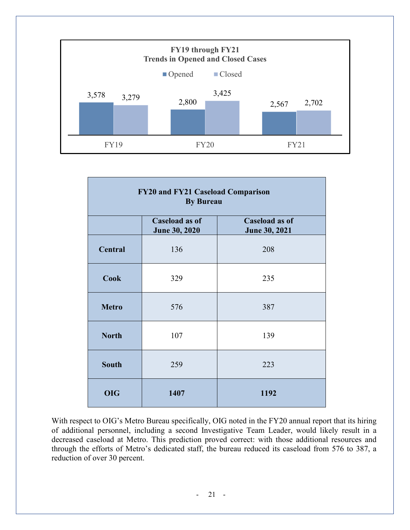

| FY20 and FY21 Caseload Comparison<br><b>By Bureau</b> |                                                                                  |      |  |  |  |
|-------------------------------------------------------|----------------------------------------------------------------------------------|------|--|--|--|
|                                                       | Caseload as of<br>Caseload as of<br><b>June 30, 2021</b><br><b>June 30, 2020</b> |      |  |  |  |
| <b>Central</b>                                        | 136                                                                              | 208  |  |  |  |
| <b>Cook</b>                                           | 329                                                                              | 235  |  |  |  |
| <b>Metro</b>                                          | 576                                                                              | 387  |  |  |  |
| <b>North</b>                                          | 107                                                                              | 139  |  |  |  |
| <b>South</b>                                          | 259                                                                              | 223  |  |  |  |
| <b>OIG</b>                                            | 1407                                                                             | 1192 |  |  |  |

With respect to OIG's Metro Bureau specifically, OIG noted in the FY20 annual report that its hiring of additional personnel, including a second Investigative Team Leader, would likely result in a decreased caseload at Metro. This prediction proved correct: with those additional resources and through the efforts of Metro's dedicated staff, the bureau reduced its caseload from 576 to 387, a reduction of over 30 percent.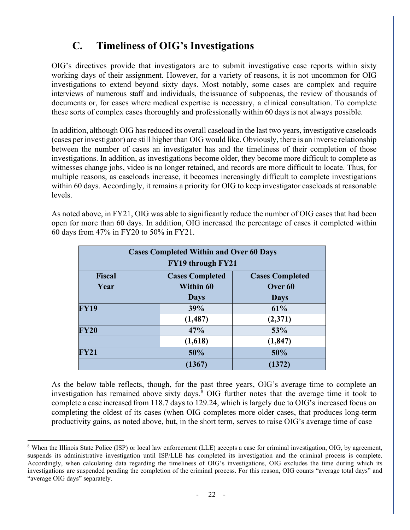## **C. Timeliness of OIG's Investigations**

<span id="page-25-0"></span>OIG's directives provide that investigators are to submit investigative case reports within sixty working days of their assignment. However, for a variety of reasons, it is not uncommon for OIG investigations to extend beyond sixty days. Most notably, some cases are complex and require interviews of numerous staff and individuals, theissuance of subpoenas, the review of thousands of documents or, for cases where medical expertise is necessary, a clinical consultation. To complete these sorts of complex cases thoroughly and professionally within 60 days is not always possible.

In addition, although OIG has reduced its overall caseload in the last two years, investigative caseloads (cases per investigator) are still higher than OIG would like. Obviously, there is an inverse relationship between the number of cases an investigator has and the timeliness of their completion of those investigations. In addition, as investigations become older, they become more difficult to complete as witnesses change jobs, video is no longer retained, and records are more difficult to locate. Thus, for multiple reasons, as caseloads increase, it becomes increasingly difficult to complete investigations within 60 days. Accordingly, it remains a priority for OIG to keep investigator caseloads at reasonable levels.

As noted above, in FY21, OIG was able to significantly reduce the number of OIG cases that had been open for more than 60 days. In addition, OIG increased the percentage of cases it completed within 60 days from 47% in FY20 to 50% in FY21.

| <b>Cases Completed Within and Over 60 Days</b>                    |                  |                    |  |  |  |
|-------------------------------------------------------------------|------------------|--------------------|--|--|--|
| FY19 through FY21                                                 |                  |                    |  |  |  |
| <b>Fiscal</b><br><b>Cases Completed</b><br><b>Cases Completed</b> |                  |                    |  |  |  |
| Year                                                              | <b>Within 60</b> | Over <sub>60</sub> |  |  |  |
| <b>Days</b><br><b>Days</b>                                        |                  |                    |  |  |  |
| <b>FY19</b>                                                       | 39%              | 61%                |  |  |  |
|                                                                   | (1, 487)         | (2,371)            |  |  |  |
| <b>FY20</b>                                                       | 47%              | 53%                |  |  |  |
|                                                                   | (1,618)          | (1, 847)           |  |  |  |
| FY21                                                              | 50%              | 50%                |  |  |  |
|                                                                   | (1367)           | (1372)             |  |  |  |

As the below table reflects, though, for the past three years, OIG's average time to complete an investigation has remained above sixty days.<sup>[8](#page-25-1)</sup> OIG further notes that the average time it took to complete a case increased from 118.7 days to 129.24, which is largely due to OIG's increased focus on completing the oldest of its cases (when OIG completes more older cases, that produces long-term productivity gains, as noted above, but, in the short term, serves to raise OIG's average time of case

<span id="page-25-1"></span><sup>8</sup> When the Illinois State Police (ISP) or local law enforcement (LLE) accepts a case for criminal investigation, OIG, by agreement, suspends its administrative investigation until ISP/LLE has completed its investigation and the criminal process is complete. Accordingly, when calculating data regarding the timeliness of OIG's investigations, OIG excludes the time during which its investigations are suspended pending the completion of the criminal process. For this reason, OIG counts "average total days" and "average OIG days" separately.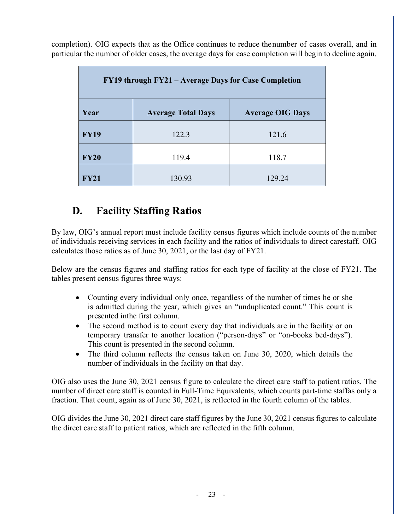completion). OIG expects that as the Office continues to reduce the number of cases overall, and in particular the number of older cases, the average days for case completion will begin to decline again.

| FY19 through FY21 – Average Days for Case Completion |                           |                         |  |  |  |
|------------------------------------------------------|---------------------------|-------------------------|--|--|--|
| Year                                                 | <b>Average Total Days</b> | <b>Average OIG Days</b> |  |  |  |
| <b>FY19</b>                                          | 122.3                     | 121.6                   |  |  |  |
| <b>FY20</b>                                          | 119.4                     | 118.7                   |  |  |  |
| <b>FY21</b>                                          | 130.93                    | 129.24                  |  |  |  |

## **D. Facility Staffing Ratios**

<span id="page-26-0"></span>By law, OIG's annual report must include facility census figures which include counts of the number of individuals receiving services in each facility and the ratios of individuals to direct carestaff. OIG calculates those ratios as of June 30, 2021, or the last day of FY21.

Below are the census figures and staffing ratios for each type of facility at the close of FY21. The tables present census figures three ways:

- Counting every individual only once, regardless of the number of times he or she is admitted during the year, which gives an "unduplicated count." This count is presented inthe first column.
- The second method is to count every day that individuals are in the facility or on temporary transfer to another location ("person-days" or "on-books bed-days"). This count is presented in the second column.
- The third column reflects the census taken on June 30, 2020, which details the number of individuals in the facility on that day.

OIG also uses the June 30, 2021 census figure to calculate the direct care staff to patient ratios. The number of direct care staff is counted in Full-Time Equivalents, which counts part-time staffas only a fraction. That count, again as of June 30, 2021, is reflected in the fourth column of the tables.

OIG divides the June 30, 2021 direct care staff figures by the June 30, 2021 census figures to calculate the direct care staff to patient ratios, which are reflected in the fifth column.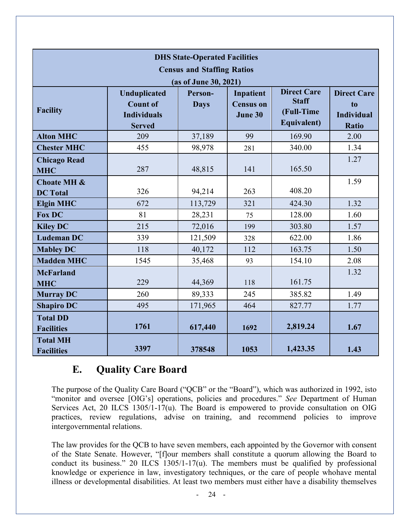| <b>DHS State-Operated Facilities</b><br><b>Census and Staffing Ratios</b><br>(as of June 30, 2021) |                                                                               |                        |                                          |                                                                 |                                                               |
|----------------------------------------------------------------------------------------------------|-------------------------------------------------------------------------------|------------------------|------------------------------------------|-----------------------------------------------------------------|---------------------------------------------------------------|
| <b>Facility</b>                                                                                    | <b>Unduplicated</b><br><b>Count of</b><br><b>Individuals</b><br><b>Served</b> | Person-<br><b>Days</b> | Inpatient<br><b>Census on</b><br>June 30 | <b>Direct Care</b><br><b>Staff</b><br>(Full-Time<br>Equivalent) | <b>Direct Care</b><br>to<br><b>Individual</b><br><b>Ratio</b> |
| <b>Alton MHC</b>                                                                                   | 209                                                                           | 37,189                 | 99                                       | 169.90                                                          | 2.00                                                          |
| <b>Chester MHC</b>                                                                                 | 455                                                                           | 98,978                 | 281                                      | 340.00                                                          | 1.34                                                          |
| <b>Chicago Read</b><br><b>MHC</b>                                                                  | 287                                                                           | 48,815                 | 141                                      | 165.50                                                          | 1.27                                                          |
| <b>Choate MH &amp;</b><br><b>DC</b> Total                                                          | 326                                                                           | 94,214                 | 263                                      | 408.20                                                          | 1.59                                                          |
| <b>Elgin MHC</b>                                                                                   | 672                                                                           | 113,729                | 321                                      | 424.30                                                          | 1.32                                                          |
| <b>Fox DC</b>                                                                                      | 81                                                                            | 28,231                 | 75                                       | 128.00                                                          | 1.60                                                          |
| <b>Kiley DC</b>                                                                                    | 215                                                                           | 72,016                 | 199                                      | 303.80                                                          | 1.57                                                          |
| <b>Ludeman DC</b>                                                                                  | 339                                                                           | 121,509                | 328                                      | 622.00                                                          | 1.86                                                          |
| <b>Mabley DC</b>                                                                                   | 118                                                                           | 40,172                 | 112                                      | 163.75                                                          | 1.50                                                          |
| <b>Madden MHC</b>                                                                                  | 1545                                                                          | 35,468                 | 93                                       | 154.10                                                          | 2.08                                                          |
| <b>McFarland</b><br><b>MHC</b>                                                                     | 229                                                                           | 44,369                 | 118                                      | 161.75                                                          | 1.32                                                          |
| <b>Murray DC</b>                                                                                   | 260                                                                           | 89,333                 | 245                                      | 385.82                                                          | 1.49                                                          |
| <b>Shapiro DC</b>                                                                                  | 495                                                                           | 171,965                | 464                                      | 827.77                                                          | 1.77                                                          |
| <b>Total DD</b><br><b>Facilities</b>                                                               | 1761                                                                          | 617,440                | 1692                                     | 2,819.24                                                        | 1.67                                                          |
| <b>Total MH</b><br><b>Facilities</b>                                                               | 3397                                                                          | 378548                 | 1053                                     | 1,423.35                                                        | 1.43                                                          |

### **E. Quality Care Board**

<span id="page-27-0"></span>The purpose of the Quality Care Board ("QCB" or the "Board"), which was authorized in 1992, isto "monitor and oversee [OIG's] operations, policies and procedures." *See* Department of Human Services Act, 20 ILCS 1305/1-17(u). The Board is empowered to provide consultation on OIG practices, review regulations, advise on training, and recommend policies to improve intergovernmental relations.

The law provides for the QCB to have seven members, each appointed by the Governor with consent of the State Senate. However, "[f]our members shall constitute a quorum allowing the Board to conduct its business." 20 ILCS 1305/1-17(u). The members must be qualified by professional knowledge or experience in law, investigatory techniques, or the care of people whohave mental illness or developmental disabilities. At least two members must either have a disability themselves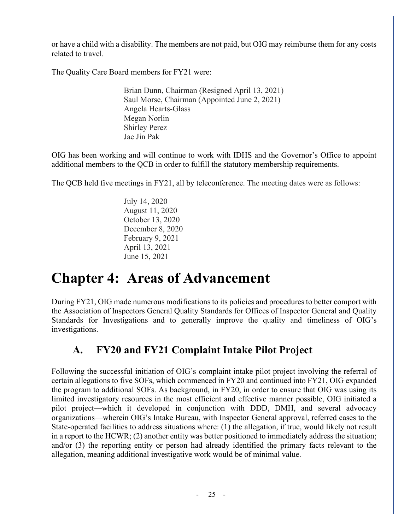or have a child with a disability. The members are not paid, but OIG may reimburse them for any costs related to travel.

The Quality Care Board members for FY21 were:

Brian Dunn, Chairman (Resigned April 13, 2021) Saul Morse, Chairman (Appointed June 2, 2021) Angela Hearts-Glass Megan Norlin Shirley Perez Jae Jin Pak

OIG has been working and will continue to work with IDHS and the Governor's Office to appoint additional members to the QCB in order to fulfill the statutory membership requirements.

The QCB held five meetings in FY21, all by teleconference. The meeting dates were as follows:

July 14, 2020 August 11, 2020 October 13, 2020 December 8, 2020 February 9, 2021 April 13, 2021 June 15, 2021

## <span id="page-28-0"></span>**Chapter 4: Areas of Advancement**

During FY21, OIG made numerous modifications to its policies and procedures to better comport with the Association of Inspectors General Quality Standards for Offices of Inspector General and Quality Standards for Investigations and to generally improve the quality and timeliness of OIG's investigations.

## **A. FY20 and FY21 Complaint Intake Pilot Project**

Following the successful initiation of OIG's complaint intake pilot project involving the referral of certain allegations to five SOFs, which commenced in FY20 and continued into FY21, OIG expanded the program to additional SOFs. As background, in FY20, in order to ensure that OIG was using its limited investigatory resources in the most efficient and effective manner possible, OIG initiated a pilot project—which it developed in conjunction with DDD, DMH, and several advocacy organizations—wherein OIG's Intake Bureau, with Inspector General approval, referred cases to the State-operated facilities to address situations where: (1) the allegation, if true, would likely not result in a report to the HCWR; (2) another entity was better positioned to immediately address the situation; and/or (3) the reporting entity or person had already identified the primary facts relevant to the allegation, meaning additional investigative work would be of minimal value.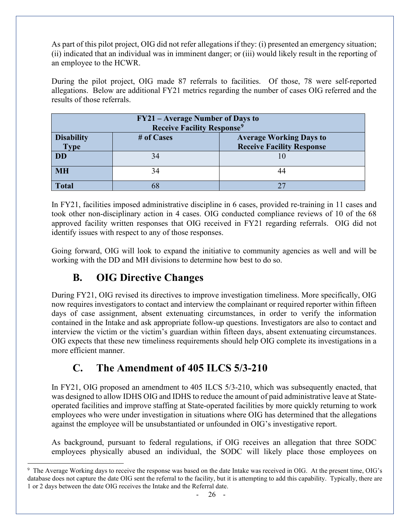As part of this pilot project, OIG did not refer allegations if they: (i) presented an emergency situation; (ii) indicated that an individual was in imminent danger; or (iii) would likely result in the reporting of an employee to the HCWR.

During the pilot project, OIG made 87 referrals to facilities. Of those, 78 were self-reported allegations. Below are additional FY21 metrics regarding the number of cases OIG referred and the results of those referrals.

| FY21 – Average Number of Days to<br><b>Receive Facility Response<sup>9</sup></b> |    |                                  |  |  |
|----------------------------------------------------------------------------------|----|----------------------------------|--|--|
| <b>Disability</b><br># of Cases<br><b>Average Working Days to</b>                |    |                                  |  |  |
| <b>Type</b><br><b>DD</b>                                                         | 34 | <b>Receive Facility Response</b> |  |  |
|                                                                                  |    |                                  |  |  |
| <b>MH</b>                                                                        | 34 |                                  |  |  |
| <b>Total</b>                                                                     |    |                                  |  |  |

In FY21, facilities imposed administrative discipline in 6 cases, provided re-training in 11 cases and took other non-disciplinary action in 4 cases. OIG conducted compliance reviews of 10 of the 68 approved facility written responses that OIG received in FY21 regarding referrals. OIG did not identify issues with respect to any of those responses.

Going forward, OIG will look to expand the initiative to community agencies as well and will be working with the DD and MH divisions to determine how best to do so.

## **B. OIG Directive Changes**

During FY21, OIG revised its directives to improve investigation timeliness. More specifically, OIG now requires investigators to contact and interview the complainant or required reporter within fifteen days of case assignment, absent extenuating circumstances, in order to verify the information contained in the Intake and ask appropriate follow-up questions. Investigators are also to contact and interview the victim or the victim's guardian within fifteen days, absent extenuating circumstances. OIG expects that these new timeliness requirements should help OIG complete its investigations in a more efficient manner.

## **C. The Amendment of 405 ILCS 5/3-210**

In FY21, OIG proposed an amendment to 405 ILCS 5/3-210, which was subsequently enacted, that was designed to allow IDHS OIG and IDHS to reduce the amount of paid administrative leave at Stateoperated facilities and improve staffing at State-operated facilities by more quickly returning to work employees who were under investigation in situations where OIG has determined that the allegations against the employee will be unsubstantiated or unfounded in OIG's investigative report.

As background, pursuant to federal regulations, if OIG receives an allegation that three SODC employees physically abused an individual, the SODC will likely place those employees on

<span id="page-29-0"></span><sup>9</sup> The Average Working days to receive the response was based on the date Intake was received in OIG. At the present time, OIG's database does not capture the date OIG sent the referral to the facility, but it is attempting to add this capability. Typically, there are 1 or 2 days between the date OIG receives the Intake and the Referral date.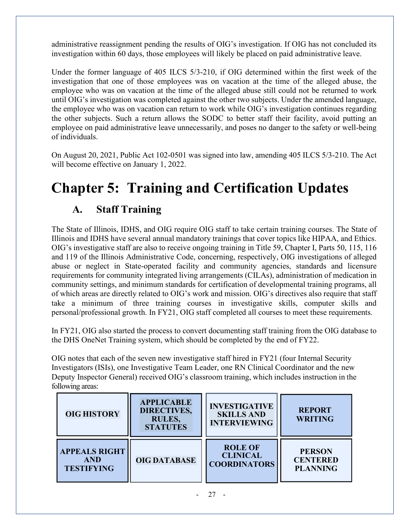administrative reassignment pending the results of OIG's investigation. If OIG has not concluded its investigation within 60 days, those employees will likely be placed on paid administrative leave.

Under the former language of 405 ILCS 5/3-210, if OIG determined within the first week of the investigation that one of those employees was on vacation at the time of the alleged abuse, the employee who was on vacation at the time of the alleged abuse still could not be returned to work until OIG's investigation was completed against the other two subjects. Under the amended language, the employee who was on vacation can return to work while OIG's investigation continues regarding the other subjects. Such a return allows the SODC to better staff their facility, avoid putting an employee on paid administrative leave unnecessarily, and poses no danger to the safety or well-being of individuals.

On August 20, 2021, Public Act 102-0501 was signed into law, amending 405 ILCS 5/3-210. The Act will become effective on January 1, 2022.

## <span id="page-30-1"></span><span id="page-30-0"></span>**Chapter 5: Training and Certification Updates**

## **A. Staff Training**

The State of Illinois, IDHS, and OIG require OIG staff to take certain training courses. The State of Illinois and IDHS have several annual mandatory trainings that cover topics like HIPAA, and Ethics. OIG's investigative staff are also to receive ongoing training in Title 59, Chapter I, Parts 50, 115, 116 and 119 of the Illinois Administrative Code, concerning, respectively, OIG investigations of alleged abuse or neglect in State-operated facility and community agencies, standards and licensure requirements for community integrated living arrangements (CILAs), administration of medication in community settings, and minimum standards for certification of developmental training programs, all of which areas are directly related to OIG's work and mission. OIG's directives also require that staff take a minimum of three training courses in investigative skills, computer skills and personal/professional growth. In FY21, OIG staff completed all courses to meet these requirements.

In FY21, OIG also started the process to convert documenting staff training from the OIG database to the DHS OneNet Training system, which should be completed by the end of FY22.

OIG notes that each of the seven new investigative staff hired in FY21 (four Internal Security Investigators (ISIs), one Investigative Team Leader, one RN Clinical Coordinator and the new Deputy Inspector General) received OIG's classroom training, which includes instruction in the following areas:

| <b>OIG HISTORY</b>   | <b>APPLICABLE</b><br><b>DIRECTIVES,</b><br><b>RULES,</b><br><b>STATUTES</b> | <b>INVESTIGATIVE</b><br><b>SKILLS AND</b><br><b>INTERVIEWING</b> | <b>REPORT</b><br><b>WRITING</b> |
|----------------------|-----------------------------------------------------------------------------|------------------------------------------------------------------|---------------------------------|
| <b>APPEALS RIGHT</b> | <b>OIG DATABASE</b>                                                         | <b>ROLE OF</b>                                                   | <b>PERSON</b>                   |
| <b>AND</b>           |                                                                             | <b>CLINICAL</b>                                                  | <b>CENTERED</b>                 |
| <b>TESTIFYING</b>    |                                                                             | <b>COORDINATORS</b>                                              | <b>PLANNING</b>                 |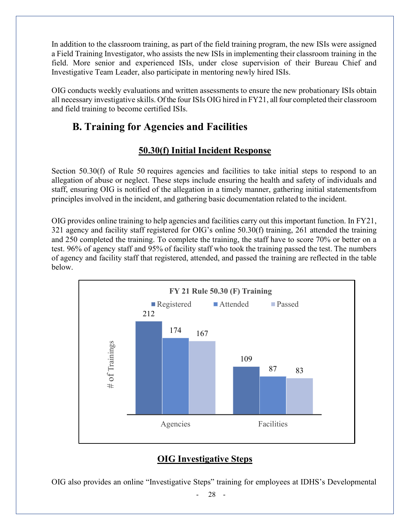In addition to the classroom training, as part of the field training program, the new ISIs were assigned a Field Training Investigator, who assists the new ISIs in implementing their classroom training in the field. More senior and experienced ISIs, under close supervision of their Bureau Chief and Investigative Team Leader, also participate in mentoring newly hired ISIs.

<span id="page-31-0"></span>OIG conducts weekly evaluations and written assessments to ensure the new probationary ISIs obtain all necessary investigative skills. Of the four ISIs OIG hired in FY21, all four completed their classroom and field training to become certified ISIs.

## **B. Training for Agencies and Facilities**

### **50.30(f) Initial Incident Response**

Section 50.30(f) of Rule 50 requires agencies and facilities to take initial steps to respond to an allegation of abuse or neglect. These steps include ensuring the health and safety of individuals and staff, ensuring OIG is notified of the allegation in a timely manner, gathering initial statementsfrom principles involved in the incident, and gathering basic documentation related to the incident.

OIG provides online training to help agencies and facilities carry out this important function. In FY21, 321 agency and facility staff registered for OIG's online 50.30(f) training, 261 attended the training and 250 completed the training. To complete the training, the staff have to score 70% or better on a test. 96% of agency staff and 95% of facility staff who took the training passed the test. The numbers of agency and facility staff that registered, attended, and passed the training are reflected in the table below.



### **OIG Investigative Steps**

OIG also provides an online "Investigative Steps" training for employees at IDHS's Developmental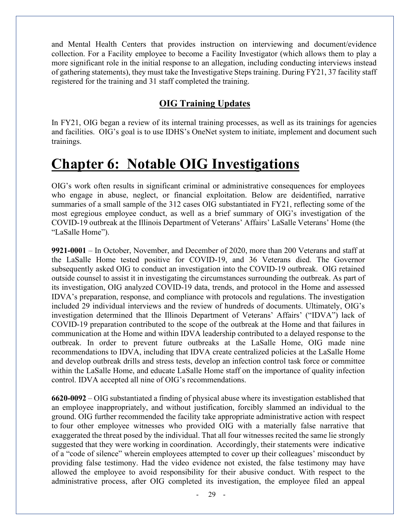and Mental Health Centers that provides instruction on interviewing and document/evidence collection. For a Facility employee to become a Facility Investigator (which allows them to play a more significant role in the initial response to an allegation, including conducting interviews instead of gathering statements), they must take the Investigative Steps training. During FY21, 37 facility staff registered for the training and 31 staff completed the training.

#### **OIG Training Updates**

In FY21, OIG began a review of its internal training processes, as well as its trainings for agencies and facilities. OIG's goal is to use IDHS's OneNet system to initiate, implement and document such trainings.

## **Chapter 6: Notable OIG Investigations**

OIG's work often results in significant criminal or administrative consequences for employees who engage in abuse, neglect, or financial exploitation. Below are deidentified, narrative summaries of a small sample of the 312 cases OIG substantiated in FY21, reflecting some of the most egregious employee conduct, as well as a brief summary of OIG's investigation of the COVID-19 outbreak at the Illinois Department of Veterans' Affairs' LaSalle Veterans' Home (the "LaSalle Home").

**9921-0001** – In October, November, and December of 2020, more than 200 Veterans and staff at the LaSalle Home tested positive for COVID-19, and 36 Veterans died. The Governor subsequently asked OIG to conduct an investigation into the COVID-19 outbreak. OIG retained outside counsel to assist it in investigating the circumstances surrounding the outbreak. As part of its investigation, OIG analyzed COVID-19 data, trends, and protocol in the Home and assessed IDVA's preparation, response, and compliance with protocols and regulations. The investigation included 29 individual interviews and the review of hundreds of documents. Ultimately, OIG's investigation determined that the Illinois Department of Veterans' Affairs' ("IDVA") lack of COVID-19 preparation contributed to the scope of the outbreak at the Home and that failures in communication at the Home and within IDVA leadership contributed to a delayed response to the outbreak. In order to prevent future outbreaks at the LaSalle Home, OIG made nine recommendations to IDVA, including that IDVA create centralized policies at the LaSalle Home and develop outbreak drills and stress tests, develop an infection control task force or committee within the LaSalle Home, and educate LaSalle Home staff on the importance of quality infection control. IDVA accepted all nine of OIG's recommendations.

**6620-0092** – OIG substantiated a finding of physical abuse where its investigation established that an employee inappropriately, and without justification, forcibly slammed an individual to the ground. OIG further recommended the facility take appropriate administrative action with respect to four other employee witnesses who provided OIG with a materially false narrative that exaggerated the threat posed by the individual. That all four witnesses recited the same lie strongly suggested that they were working in coordination. Accordingly, their statements were indicative of a "code of silence" wherein employees attempted to cover up their colleagues' misconduct by providing false testimony. Had the video evidence not existed, the false testimony may have allowed the employee to avoid responsibility for their abusive conduct. With respect to the administrative process, after OIG completed its investigation, the employee filed an appeal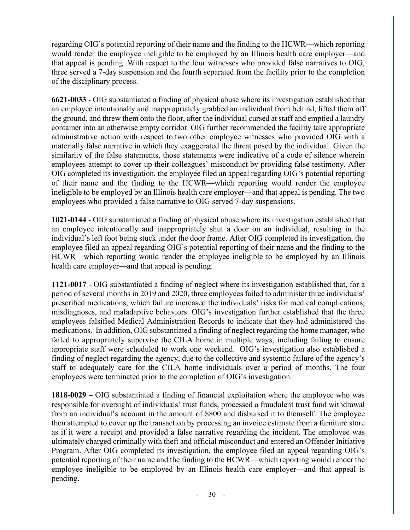regarding OIG's potential reporting of their name and the finding to the HCWR—which reporting would render the employee ineligible to be employed by an Illinois health care employer—and that appeal is pending. With respect to the four witnesses who provided false narratives to OIG, three served a 7-day suspension and the fourth separated from the facility prior to the completion of the disciplinary process.

**6621-0033** - OIG substantiated a finding of physical abuse where its investigation established that an employee intentionally and inappropriately grabbed an individual from behind, lifted them off the ground, and threw them onto the floor, after the individual cursed at staff and emptied a laundry container into an otherwise empty corridor. OIG further recommended the facility take appropriate administrative action with respect to two other employee witnesses who provided OIG with a materially false narrative in which they exaggerated the threat posed by the individual. Given the similarity of the false statements, those statements were indicative of a code of silence wherein employees attempt to cover-up their colleagues' misconduct by providing false testimony. After OIG completed its investigation, the employee filed an appeal regarding OIG's potential reporting of their name and the finding to the HCWR—which reporting would render the employee ineligible to be employed by an Illinois health care employer—and that appeal is pending. The two employees who provided a false narrative to OIG served 7-day suspensions.

**1021-0144** - OIG substantiated a finding of physical abuse where its investigation established that an employee intentionally and inappropriately shut a door on an individual, resulting in the individual's left foot being stuck under the door frame. After OIG completed its investigation, the employee filed an appeal regarding OIG's potential reporting of their name and the finding to the HCWR—which reporting would render the employee ineligible to be employed by an Illinois health care employer—and that appeal is pending.

**1121-0017** - OIG substantiated a finding of neglect where its investigation established that, for a period of several months in 2019 and 2020, three employees failed to administer three individuals' prescribed medications, which failure increased the individuals' risks for medical complications, misdiagnoses, and maladaptive behaviors. OIG's investigation further established that the three employees falsified Medical Administration Records to indicate that they had administered the medications. In addition, OIG substantiated a finding of neglect regarding the home manager, who failed to appropriately supervise the CILA home in multiple ways, including failing to ensure appropriate staff were scheduled to work one weekend. OIG's investigation also established a finding of neglect regarding the agency, due to the collective and systemic failure of the agency's staff to adequately care for the CILA home individuals over a period of months. The four employees were terminated prior to the completion of OIG's investigation.

**1818-0029** – OIG substantiated a finding of financial exploitation where the employee who was responsible for oversight of individuals' trust funds, processed a fraudulent trust fund withdrawal from an individual's account in the amount of \$800 and disbursed it to themself. The employee then attempted to cover up the transaction by processing an invoice estimate from a furniture store as if it were a receipt and provided a false narrative regarding the incident. The employee was ultimately charged criminally with theft and official misconduct and entered an Offender Initiative Program. After OIG completed its investigation, the employee filed an appeal regarding OIG's potential reporting of their name and the finding to the HCWR—which reporting would render the employee ineligible to be employed by an Illinois health care employer—and that appeal is pending.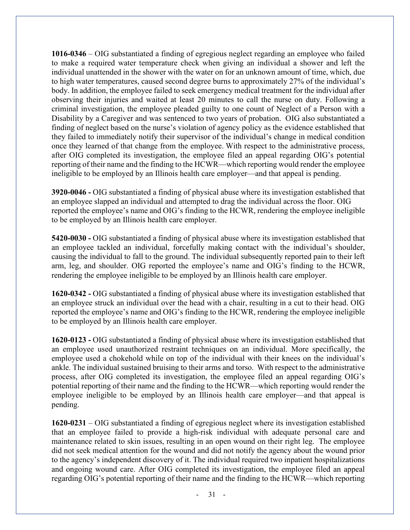**1016-0346** – OIG substantiated a finding of egregious neglect regarding an employee who failed to make a required water temperature check when giving an individual a shower and left the individual unattended in the shower with the water on for an unknown amount of time, which, due to high water temperatures, caused second degree burns to approximately 27% of the individual's body. In addition, the employee failed to seek emergency medical treatment for the individual after observing their injuries and waited at least 20 minutes to call the nurse on duty. Following a criminal investigation, the employee pleaded guilty to one count of Neglect of a Person with a Disability by a Caregiver and was sentenced to two years of probation. OIG also substantiated a finding of neglect based on the nurse's violation of agency policy as the evidence established that they failed to immediately notify their supervisor of the individual's change in medical condition once they learned of that change from the employee. With respect to the administrative process, after OIG completed its investigation, the employee filed an appeal regarding OIG's potential reporting of their name and the finding to the HCWR—which reporting would render the employee ineligible to be employed by an Illinois health care employer—and that appeal is pending.

**3920-0046 -** OIG substantiated a finding of physical abuse where its investigation established that an employee slapped an individual and attempted to drag the individual across the floor. OIG reported the employee's name and OIG's finding to the HCWR, rendering the employee ineligible to be employed by an Illinois health care employer.

**5420-0030 -** OIG substantiated a finding of physical abuse where its investigation established that an employee tackled an individual, forcefully making contact with the individual's shoulder, causing the individual to fall to the ground. The individual subsequently reported pain to their left arm, leg, and shoulder. OIG reported the employee's name and OIG's finding to the HCWR, rendering the employee ineligible to be employed by an Illinois health care employer.

**1620-0342 -** OIG substantiated a finding of physical abuse where its investigation established that an employee struck an individual over the head with a chair, resulting in a cut to their head. OIG reported the employee's name and OIG's finding to the HCWR, rendering the employee ineligible to be employed by an Illinois health care employer.

**1620-0123 -** OIG substantiated a finding of physical abuse where its investigation established that an employee used unauthorized restraint techniques on an individual. More specifically, the employee used a chokehold while on top of the individual with their knees on the individual's ankle. The individual sustained bruising to their arms and torso. With respect to the administrative process, after OIG completed its investigation, the employee filed an appeal regarding OIG's potential reporting of their name and the finding to the HCWR—which reporting would render the employee ineligible to be employed by an Illinois health care employer—and that appeal is pending.

**1620-0231** – OIG substantiated a finding of egregious neglect where its investigation established that an employee failed to provide a high-risk individual with adequate personal care and maintenance related to skin issues, resulting in an open wound on their right leg. The employee did not seek medical attention for the wound and did not notify the agency about the wound prior to the agency's independent discovery of it. The individual required two inpatient hospitalizations and ongoing wound care. After OIG completed its investigation, the employee filed an appeal regarding OIG's potential reporting of their name and the finding to the HCWR—which reporting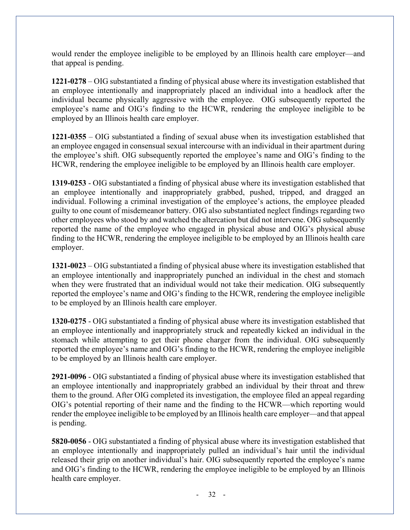would render the employee ineligible to be employed by an Illinois health care employer—and that appeal is pending.

**1221-0278** – OIG substantiated a finding of physical abuse where its investigation established that an employee intentionally and inappropriately placed an individual into a headlock after the individual became physically aggressive with the employee. OIG subsequently reported the employee's name and OIG's finding to the HCWR, rendering the employee ineligible to be employed by an Illinois health care employer.

**1221-0355** – OIG substantiated a finding of sexual abuse when its investigation established that an employee engaged in consensual sexual intercourse with an individual in their apartment during the employee's shift. OIG subsequently reported the employee's name and OIG's finding to the HCWR, rendering the employee ineligible to be employed by an Illinois health care employer.

**1319-0253** - OIG substantiated a finding of physical abuse where its investigation established that an employee intentionally and inappropriately grabbed, pushed, tripped, and dragged an individual. Following a criminal investigation of the employee's actions, the employee pleaded guilty to one count of misdemeanor battery. OIG also substantiated neglect findings regarding two other employees who stood by and watched the altercation but did not intervene. OIG subsequently reported the name of the employee who engaged in physical abuse and OIG's physical abuse finding to the HCWR, rendering the employee ineligible to be employed by an Illinois health care employer.

**1321-0023** – OIG substantiated a finding of physical abuse where its investigation established that an employee intentionally and inappropriately punched an individual in the chest and stomach when they were frustrated that an individual would not take their medication. OIG subsequently reported the employee's name and OIG's finding to the HCWR, rendering the employee ineligible to be employed by an Illinois health care employer.

**1320-0275** - OIG substantiated a finding of physical abuse where its investigation established that an employee intentionally and inappropriately struck and repeatedly kicked an individual in the stomach while attempting to get their phone charger from the individual. OIG subsequently reported the employee's name and OIG's finding to the HCWR, rendering the employee ineligible to be employed by an Illinois health care employer.

**2921-0096** - OIG substantiated a finding of physical abuse where its investigation established that an employee intentionally and inappropriately grabbed an individual by their throat and threw them to the ground. After OIG completed its investigation, the employee filed an appeal regarding OIG's potential reporting of their name and the finding to the HCWR—which reporting would render the employee ineligible to be employed by an Illinois health care employer—and that appeal is pending.

**5820-0056** - OIG substantiated a finding of physical abuse where its investigation established that an employee intentionally and inappropriately pulled an individual's hair until the individual released their grip on another individual's hair. OIG subsequently reported the employee's name and OIG's finding to the HCWR, rendering the employee ineligible to be employed by an Illinois health care employer.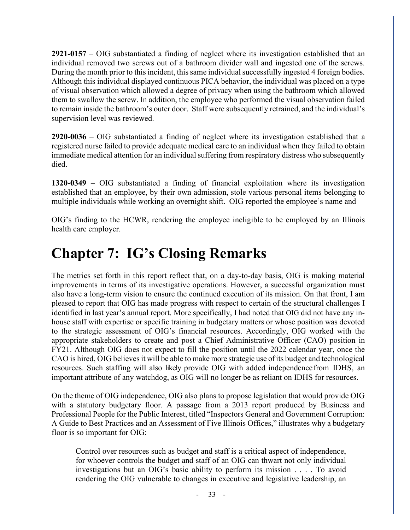**2921-0157** – OIG substantiated a finding of neglect where its investigation established that an individual removed two screws out of a bathroom divider wall and ingested one of the screws. During the month prior to this incident, this same individual successfully ingested 4 foreign bodies. Although this individual displayed continuous PICA behavior, the individual was placed on a type of visual observation which allowed a degree of privacy when using the bathroom which allowed them to swallow the screw. In addition, the employee who performed the visual observation failed to remain inside the bathroom's outer door. Staff were subsequently retrained, and the individual's supervision level was reviewed.

**2920-0036** – OIG substantiated a finding of neglect where its investigation established that a registered nurse failed to provide adequate medical care to an individual when they failed to obtain immediate medical attention for an individual suffering from respiratory distress who subsequently died.

**1320-0349** – OIG substantiated a finding of financial exploitation where its investigation established that an employee, by their own admission, stole various personal items belonging to multiple individuals while working an overnight shift. OIG reported the employee's name and

OIG's finding to the HCWR, rendering the employee ineligible to be employed by an Illinois health care employer.

## **Chapter 7: IG's Closing Remarks**

The metrics set forth in this report reflect that, on a day-to-day basis, OIG is making material improvements in terms of its investigative operations. However, a successful organization must also have a long-term vision to ensure the continued execution of its mission. On that front, I am pleased to report that OIG has made progress with respect to certain of the structural challenges I identified in last year's annual report. More specifically, I had noted that OIG did not have any inhouse staff with expertise or specific training in budgetary matters or whose position was devoted to the strategic assessment of OIG's financial resources. Accordingly, OIG worked with the appropriate stakeholders to create and post a Chief Administrative Officer (CAO) position in FY21. Although OIG does not expect to fill the position until the 2022 calendar year, once the CAO is hired, OIG believes it will be able to make more strategic use of its budget and technological resources. Such staffing will also likely provide OIG with added independencefrom IDHS, an important attribute of any watchdog, as OIG will no longer be as reliant on IDHS for resources.

On the theme of OIG independence, OIG also plans to propose legislation that would provide OIG with a statutory budgetary floor. A passage from a 2013 report produced by Business and Professional People for the Public Interest, titled "Inspectors General and Government Corruption: A Guide to Best Practices and an Assessment of Five Illinois Offices," illustrates why a budgetary floor is so important for OIG:

Control over resources such as budget and staff is a critical aspect of independence, for whoever controls the budget and staff of an OIG can thwart not only individual investigations but an OIG's basic ability to perform its mission . . . . To avoid rendering the OIG vulnerable to changes in executive and legislative leadership, an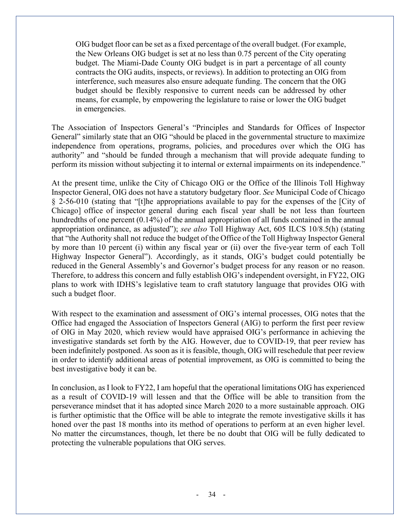OIG budget floor can be set as a fixed percentage of the overall budget. (For example, the New Orleans OIG budget is set at no less than 0.75 percent of the City operating budget. The Miami-Dade County OIG budget is in part a percentage of all county contracts the OIG audits, inspects, or reviews). In addition to protecting an OIG from interference, such measures also ensure adequate funding. The concern that the OIG budget should be flexibly responsive to current needs can be addressed by other means, for example, by empowering the legislature to raise or lower the OIG budget in emergencies.

The Association of Inspectors General's "Principles and Standards for Offices of Inspector General" similarly state that an OIG "should be placed in the governmental structure to maximize independence from operations, programs, policies, and procedures over which the OIG has authority" and "should be funded through a mechanism that will provide adequate funding to perform its mission without subjecting it to internal or external impairments on its independence."

At the present time, unlike the City of Chicago OIG or the Office of the Illinois Toll Highway Inspector General, OIG does not have a statutory budgetary floor. *See* Municipal Code of Chicago § 2-56-010 (stating that "[t]he appropriations available to pay for the expenses of the [City of Chicago] office of inspector general during each fiscal year shall be not less than fourteen hundredths of one percent (0.14%) of the annual appropriation of all funds contained in the annual appropriation ordinance, as adjusted"); *see also* Toll Highway Act, 605 ILCS 10/8.5(h) (stating that "the Authority shall not reduce the budget of the Office of the Toll Highway Inspector General by more than 10 percent (i) within any fiscal year or (ii) over the five-year term of each Toll Highway Inspector General"). Accordingly, as it stands, OIG's budget could potentially be reduced in the General Assembly's and Governor's budget process for any reason or no reason. Therefore, to address this concern and fully establish OIG's independent oversight, in FY22, OIG plans to work with IDHS's legislative team to craft statutory language that provides OIG with such a budget floor.

With respect to the examination and assessment of OIG's internal processes, OIG notes that the Office had engaged the Association of Inspectors General (AIG) to perform the first peer review of OIG in May 2020, which review would have appraised OIG's performance in achieving the investigative standards set forth by the AIG. However, due to COVID-19, that peer review has been indefinitely postponed. As soon as it is feasible, though, OIG will reschedule that peer review in order to identify additional areas of potential improvement, as OIG is committed to being the best investigative body it can be.

In conclusion, as I look to FY22, I am hopeful that the operational limitations OIG has experienced as a result of COVID-19 will lessen and that the Office will be able to transition from the perseverance mindset that it has adopted since March 2020 to a more sustainable approach. OIG is further optimistic that the Office will be able to integrate the remote investigative skills it has honed over the past 18 months into its method of operations to perform at an even higher level. No matter the circumstances, though, let there be no doubt that OIG will be fully dedicated to protecting the vulnerable populations that OIG serves.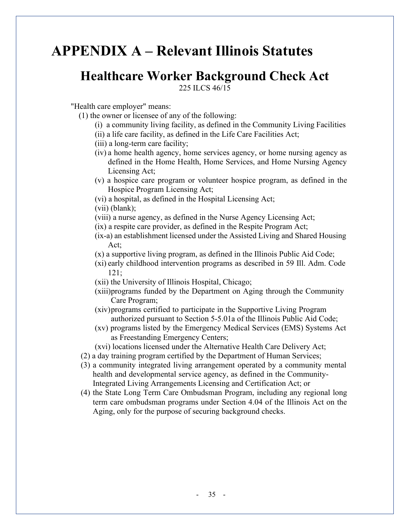## **APPENDIX A – Relevant Illinois Statutes**

## **Healthcare Worker Background Check Act**

225 ILCS 46/15

"Health care employer" means:

- (1) the owner or licensee of any of the following:
	- (i) a community living facility, as defined in the Community Living Facilities
	- (ii) a life care facility, as defined in the Life Care Facilities Act;
	- (iii) a long-term care facility;
	- (iv) a home health agency, home services agency, or home nursing agency as defined in the Home Health, Home Services, and Home Nursing Agency Licensing Act;
	- (v) a hospice care program or volunteer hospice program, as defined in the Hospice Program Licensing Act;
	- (vi) a hospital, as defined in the Hospital Licensing Act;
	- (vii) (blank);
	- (viii) a nurse agency, as defined in the Nurse Agency Licensing Act;
	- (ix) a respite care provider, as defined in the Respite Program Act;
	- (ix-a) an establishment licensed under the Assisted Living and Shared Housing Act;
	- (x) a supportive living program, as defined in the Illinois Public Aid Code;
	- (xi) early childhood intervention programs as described in 59 Ill. Adm. Code 121;
	- (xii) the University of Illinois Hospital, Chicago;
	- (xiii)programs funded by the Department on Aging through the Community Care Program;
	- (xiv)programs certified to participate in the Supportive Living Program authorized pursuant to Section 5-5.01a of the Illinois Public Aid Code;
	- (xv) programs listed by the Emergency Medical Services (EMS) Systems Act as Freestanding Emergency Centers;
	- (xvi) locations licensed under the Alternative Health Care Delivery Act;
- (2) a day training program certified by the Department of Human Services;
- (3) a community integrated living arrangement operated by a community mental health and developmental service agency, as defined in the Community-Integrated Living Arrangements Licensing and Certification Act; or
- (4) the State Long Term Care Ombudsman Program, including any regional long term care ombudsman programs under Section 4.04 of the Illinois Act on the Aging, only for the purpose of securing background checks.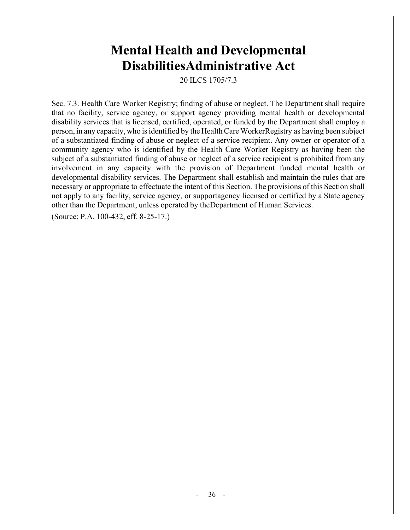## **Mental Health and Developmental DisabilitiesAdministrative Act**

20 ILCS 1705/7.3

Sec. 7.3. Health Care Worker Registry; finding of abuse or neglect. The Department shall require that no facility, service agency, or support agency providing mental health or developmental disability services that is licensed, certified, operated, or funded by the Department shall employ a person, in any capacity, who isidentified by the HealthCareWorkerRegistry as having been subject of a substantiated finding of abuse or neglect of a service recipient. Any owner or operator of a community agency who is identified by the Health Care Worker Registry as having been the subject of a substantiated finding of abuse or neglect of a service recipient is prohibited from any involvement in any capacity with the provision of Department funded mental health or developmental disability services. The Department shall establish and maintain the rules that are necessary or appropriate to effectuate the intent of this Section. The provisions of this Section shall not apply to any facility, service agency, or supportagency licensed or certified by a State agency other than the Department, unless operated by theDepartment of Human Services.

(Source: P.A. 100-432, eff. 8-25-17.)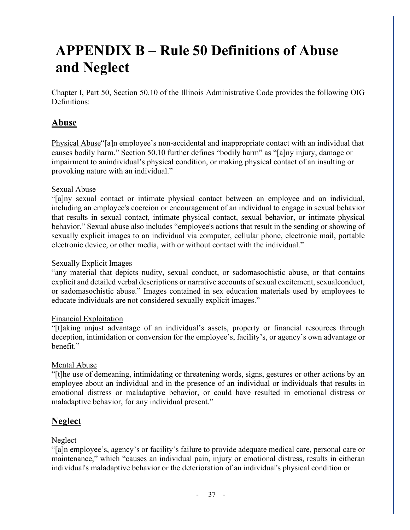## **APPENDIX B – Rule 50 Definitions of Abuse and Neglect**

Chapter I, Part 50, Section 50.10 of the Illinois Administrative Code provides the following OIG Definitions:

#### **Abuse**

Physical Abuse"[a]n employee's non-accidental and inappropriate contact with an individual that causes bodily harm." Section 50.10 further defines "bodily harm" as "[a]ny injury, damage or impairment to anindividual's physical condition, or making physical contact of an insulting or provoking nature with an individual."

#### Sexual Abuse

"[a]ny sexual contact or intimate physical contact between an employee and an individual, including an employee's coercion or encouragement of an individual to engage in sexual behavior that results in sexual contact, intimate physical contact, sexual behavior, or intimate physical behavior." Sexual abuse also includes "employee's actions that result in the sending or showing of sexually explicit images to an individual via computer, cellular phone, electronic mail, portable electronic device, or other media, with or without contact with the individual."

#### Sexually Explicit Images

"any material that depicts nudity, sexual conduct, or sadomasochistic abuse, or that contains explicit and detailed verbal descriptions or narrative accounts of sexual excitement, sexualconduct, or sadomasochistic abuse." Images contained in sex education materials used by employees to educate individuals are not considered sexually explicit images."

#### Financial Exploitation

"[t]aking unjust advantage of an individual's assets, property or financial resources through deception, intimidation or conversion for the employee's, facility's, or agency's own advantage or benefit."

#### Mental Abuse

"[t]he use of demeaning, intimidating or threatening words, signs, gestures or other actions by an employee about an individual and in the presence of an individual or individuals that results in emotional distress or maladaptive behavior, or could have resulted in emotional distress or maladaptive behavior, for any individual present."

#### **Neglect**

#### Neglect

"[a]n employee's, agency's or facility's failure to provide adequate medical care, personal care or maintenance," which "causes an individual pain, injury or emotional distress, results in eitheran individual's maladaptive behavior or the deterioration of an individual's physical condition or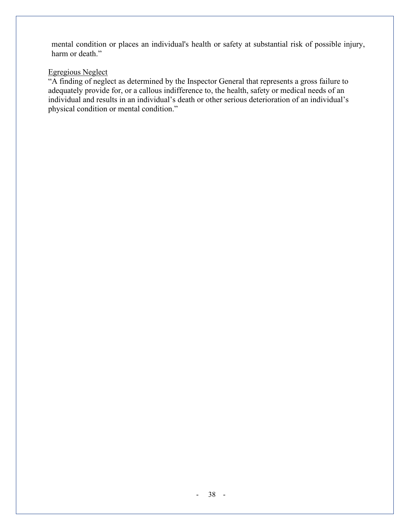mental condition or places an individual's health or safety at substantial risk of possible injury, harm or death."

#### Egregious Neglect

"A finding of neglect as determined by the Inspector General that represents a gross failure to adequately provide for, or a callous indifference to, the health, safety or medical needs of an individual and results in an individual's death or other serious deterioration of an individual's physical condition or mental condition."